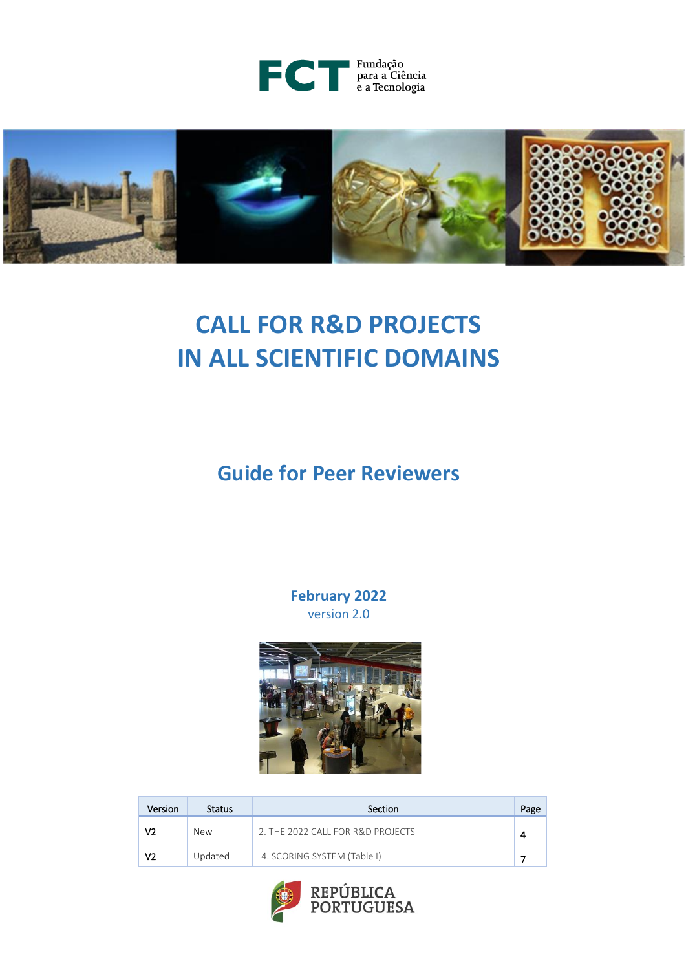



# **CALL FOR R&D PROJECTS IN ALL SCIENTIFIC DOMAINS**

**Guide for Peer Reviewers**

**February 2022** version 2.0



| Version | <b>Status</b> | Section                           | Page |
|---------|---------------|-----------------------------------|------|
| V2      | <b>New</b>    | 2. THE 2022 CALL FOR R&D PROJECTS |      |
| V2      | Updated       | 4. SCORING SYSTEM (Table I)       |      |

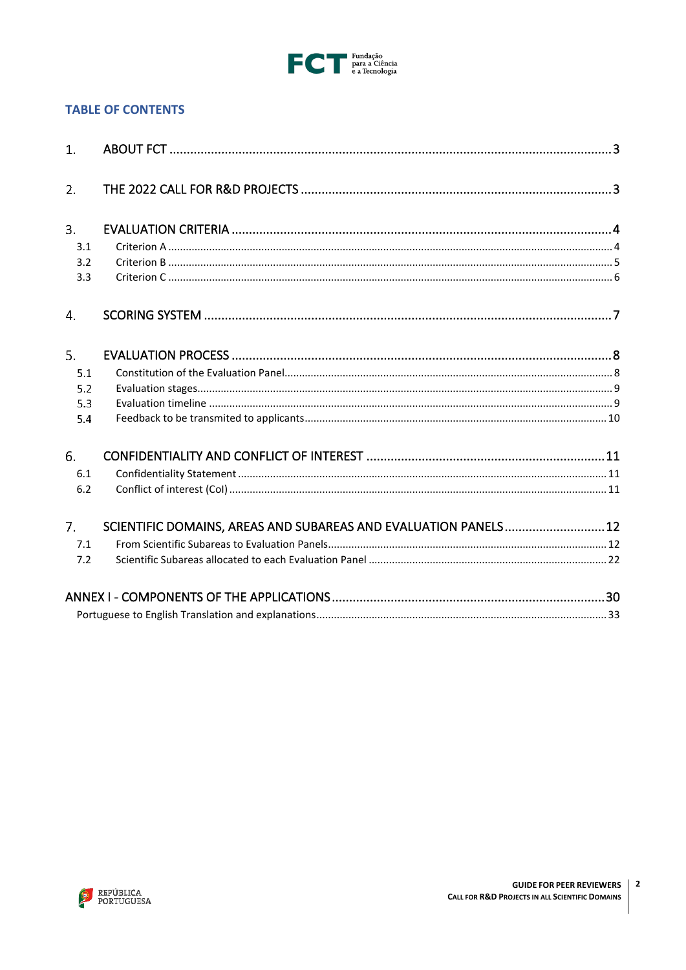

# **TABLE OF CONTENTS**

| 1.             |                                                                 |  |
|----------------|-----------------------------------------------------------------|--|
|                |                                                                 |  |
| 2.             |                                                                 |  |
|                |                                                                 |  |
| 3.             |                                                                 |  |
| 3.1            |                                                                 |  |
| 3.2            |                                                                 |  |
| 3.3            |                                                                 |  |
| 4.             |                                                                 |  |
| 5.             |                                                                 |  |
| 5.1            |                                                                 |  |
| 5.2            |                                                                 |  |
| 5.3            |                                                                 |  |
| 5.4            |                                                                 |  |
| 6.             |                                                                 |  |
| 6.1            |                                                                 |  |
| 6.2            |                                                                 |  |
| 7 <sup>1</sup> | SCIENTIFIC DOMAINS, AREAS AND SUBAREAS AND EVALUATION PANELS 12 |  |
| 7.1            |                                                                 |  |
| 7.2            |                                                                 |  |
|                |                                                                 |  |
|                |                                                                 |  |

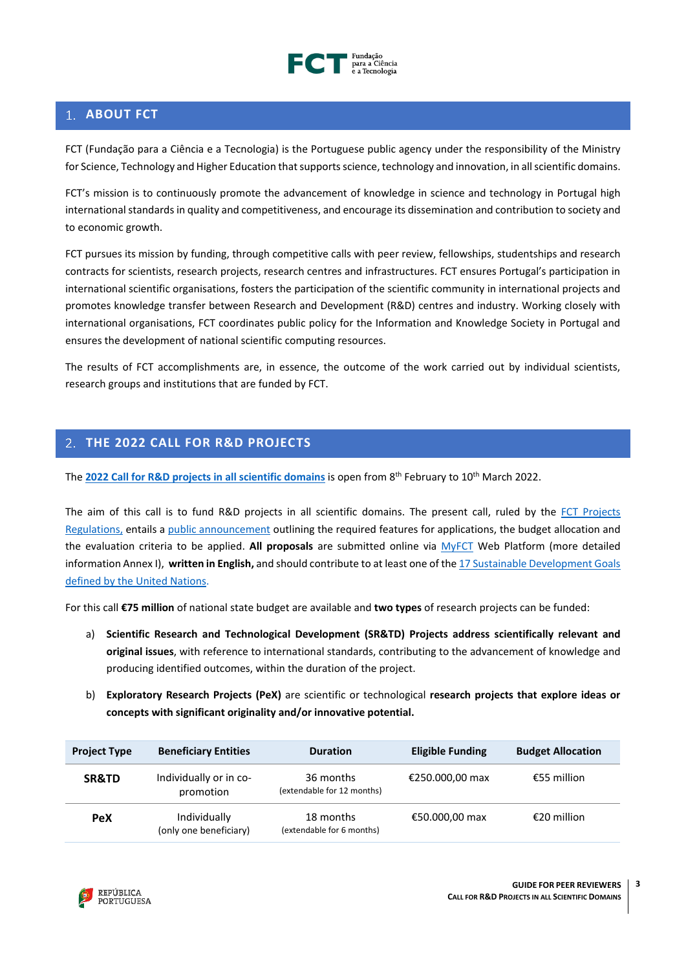

# <span id="page-2-0"></span>**ABOUT FCT**

FCT (Fundação para a Ciência e a Tecnologia) is the Portuguese public agency under the responsibility of the Ministry for Science, Technology and Higher Education that supports science, technology and innovation, in all scientific domains.

FCT's mission is to continuously promote the advancement of knowledge in science and technology in Portugal high international standards in quality and competitiveness, and encourage its dissemination and contribution to society and to economic growth.

FCT pursues its mission by funding, through competitive calls with peer review, fellowships, studentships and research contracts for scientists, research projects, research centres and infrastructures. FCT ensures Portugal's participation in international scientific organisations, fosters the participation of the scientific community in international projects and promotes knowledge transfer between Research and Development (R&D) centres and industry. Working closely with international organisations, FCT coordinates public policy for the Information and Knowledge Society in Portugal and ensures the development of national scientific computing resources.

The results of FCT accomplishments are, in essence, the outcome of the work carried out by individual scientists, research groups and institutions that are funded by FCT.

# <span id="page-2-1"></span>**THE 2022 CALL FOR R&D PROJECTS**

The **[2022 Call for R&D projects](https://www.fct.pt/apoios/projectos/concursos/ICDT/index.phtml.en) in all scientific domains** is open from 8 th February to 10th March 2022.

The aim of this call is to fund R&D projects in all scientific domains. The present call, ruled by the FCT Projects [Regulations,](https://www.fct.pt/apoios/projectos/regulamentofundosnacionais.phtml.en) entails a [public announcement](https://www.fct.pt/apoios/projectos/concursos/ICDT/docs/ICDT_AAC_2022_EN.pdf) outlining the required features for applications, the budget allocation and the evaluation criteria to be applied. **All proposals** are submitted online via [MyFCT](https://myfct.fct.pt/MyFCTHomepage.aspx) Web Platform (more detailed information Annex I), **written in English,** and should contribute to at least one of the [17 Sustainable Development Goals](https://www.un.org/ga/search/view_doc.asp?symbol=A/RES/70/1&Lang=E)  [defined by the United Nations.](https://www.un.org/ga/search/view_doc.asp?symbol=A/RES/70/1&Lang=E)

For this call **€75 million** of national state budget are available and **two types** of research projects can be funded:

- a) **Scientific Research and Technological Development (SR&TD) Projects address scientifically relevant and original issues**, with reference to international standards, contributing to the advancement of knowledge and producing identified outcomes, within the duration of the project.
- b) **Exploratory Research Projects (PeX)** are scientific or technological **research projects that explore ideas or concepts with significant originality and/or innovative potential.**

| <b>Project Type</b> | <b>Beneficiary Entities</b>            | <b>Duration</b>                         | <b>Eligible Funding</b> | <b>Budget Allocation</b> |
|---------------------|----------------------------------------|-----------------------------------------|-------------------------|--------------------------|
| SR&TD               | Individually or in co-<br>promotion    | 36 months<br>(extendable for 12 months) | €250.000,00 max         | €55 million              |
| <b>PeX</b>          | Individually<br>(only one beneficiary) | 18 months<br>(extendable for 6 months)  | €50.000,00 max          | €20 million              |

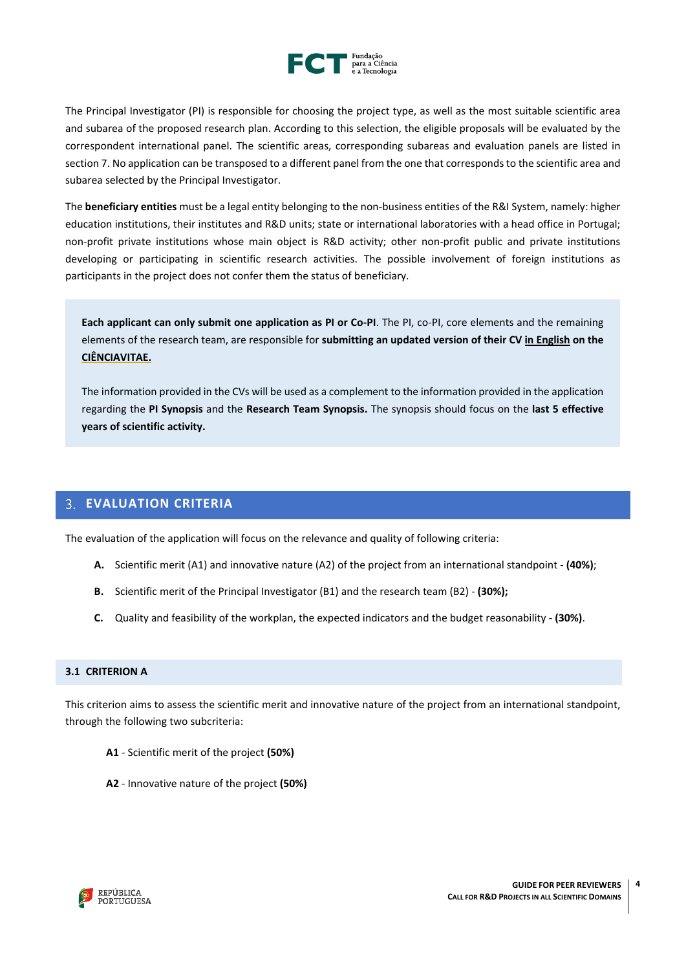

The Principal Investigator (PI) is responsible for choosing the project type, as well as the most suitable scientific area and subarea of the proposed research plan. According to this selection, the eligible proposals will be evaluated by the correspondent international panel. The scientific areas, corresponding subareas and evaluation panels are listed in section 7. No application can be transposed to a different panel from the one that corresponds to the scientific area and subarea selected by the Principal Investigator.

The **beneficiary entities** must be a legal entity belonging to the non-business entities of the R&I System, namely: higher education institutions, their institutes and R&D units; state or international laboratories with a head office in Portugal; non-profit private institutions whose main object is R&D activity; other non-profit public and private institutions developing or participating in scientific research activities. The possible involvement of foreign institutions as participants in the project does not confer them the status of beneficiary.

**Each applicant can only submit one application as PI or Co-PI**. The PI, co-PI, core elements and the remaining elements of the research team, are responsible for **submitting an updated version of their CV in English on the [CIÊNCIAVITAE.](https://cienciavitae.pt/)**

The information provided in the CVs will be used as a complement to the information provided in the application regarding the **PI Synopsis** and the **Research Team Synopsis.** The synopsis should focus on the **last 5 effective years of scientific activity.**

# <span id="page-3-0"></span>**EVALUATION CRITERIA**

The evaluation of the application will focus on the relevance and quality of following criteria:

- **A.** Scientific merit (A1) and innovative nature (A2) of the project from an international standpoint **(40%)**;
- **B.** Scientific merit of the Principal Investigator (B1) and the research team (B2) **(30%);**
- **C.** Quality and feasibility of the workplan, the expected indicators and the budget reasonability **(30%)**.

## <span id="page-3-1"></span>**3.1 CRITERION A**

This criterion aims to assess the scientific merit and innovative nature of the project from an international standpoint, through the following two subcriteria:

- **A1** Scientific merit of the project **(50%)**
- **A2**  Innovative nature of the project **(50%)**

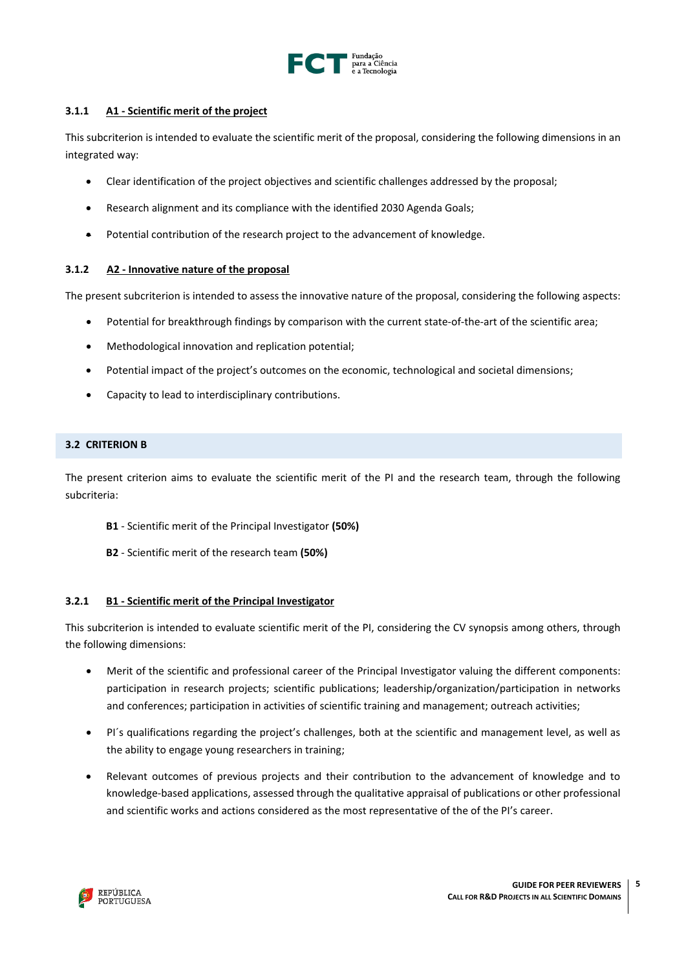

# **3.1.1 A1 - Scientific merit of the project**

This subcriterion is intended to evaluate the scientific merit of the proposal, considering the following dimensions in an integrated way:

- Clear identification of the project objectives and scientific challenges addressed by the proposal;
- Research alignment and its compliance with the identified 2030 Agenda Goals;
- Potential contribution of the research project to the advancement of knowledge.

### **3.1.2 A2 - Innovative nature of the proposal**

The present subcriterion is intended to assess the innovative nature of the proposal, considering the following aspects:

- Potential for breakthrough findings by comparison with the current state-of-the-art of the scientific area;
- Methodological innovation and replication potential;
- Potential impact of the project's outcomes on the economic, technological and societal dimensions;
- Capacity to lead to interdisciplinary contributions.

## <span id="page-4-0"></span>**3.2 CRITERION B**

The present criterion aims to evaluate the scientific merit of the PI and the research team, through the following subcriteria:

- **B1** Scientific merit of the Principal Investigator **(50%)**
- **B2**  Scientific merit of the research team **(50%)**

### **3.2.1 B1 - Scientific merit of the Principal Investigator**

This subcriterion is intended to evaluate scientific merit of the PI, considering the CV synopsis among others, through the following dimensions:

- Merit of the scientific and professional career of the Principal Investigator valuing the different components: participation in research projects; scientific publications; leadership/organization/participation in networks and conferences; participation in activities of scientific training and management; outreach activities;
- PI´s qualifications regarding the project's challenges, both at the scientific and management level, as well as the ability to engage young researchers in training;
- Relevant outcomes of previous projects and their contribution to the advancement of knowledge and to knowledge-based applications, assessed through the qualitative appraisal of publications or other professional and scientific works and actions considered as the most representative of the of the PI's career.

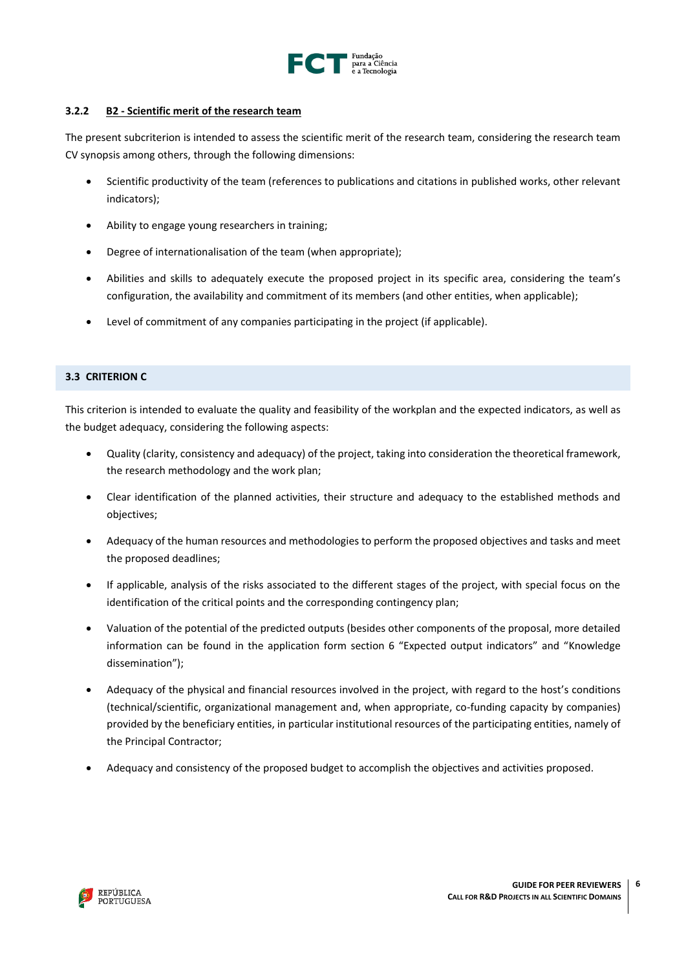

# **3.2.2 B2 - Scientific merit of the research team**

The present subcriterion is intended to assess the scientific merit of the research team, considering the research team CV synopsis among others, through the following dimensions:

- Scientific productivity of the team (references to publications and citations in published works, other relevant indicators);
- Ability to engage young researchers in training;
- Degree of internationalisation of the team (when appropriate);
- Abilities and skills to adequately execute the proposed project in its specific area, considering the team's configuration, the availability and commitment of its members (and other entities, when applicable);
- Level of commitment of any companies participating in the project (if applicable).

# <span id="page-5-0"></span>**3.3 CRITERION C**

This criterion is intended to evaluate the quality and feasibility of the workplan and the expected indicators, as well as the budget adequacy, considering the following aspects:

- Quality (clarity, consistency and adequacy) of the project, taking into consideration the theoretical framework, the research methodology and the work plan;
- Clear identification of the planned activities, their structure and adequacy to the established methods and objectives;
- Adequacy of the human resources and methodologies to perform the proposed objectives and tasks and meet the proposed deadlines;
- If applicable, analysis of the risks associated to the different stages of the project, with special focus on the identification of the critical points and the corresponding contingency plan;
- Valuation of the potential of the predicted outputs (besides other components of the proposal, more detailed information can be found in the application form section 6 "Expected output indicators" and "Knowledge dissemination");
- Adequacy of the physical and financial resources involved in the project, with regard to the host's conditions (technical/scientific, organizational management and, when appropriate, co-funding capacity by companies) provided by the beneficiary entities, in particular institutional resources of the participating entities, namely of the Principal Contractor;
- Adequacy and consistency of the proposed budget to accomplish the objectives and activities proposed.

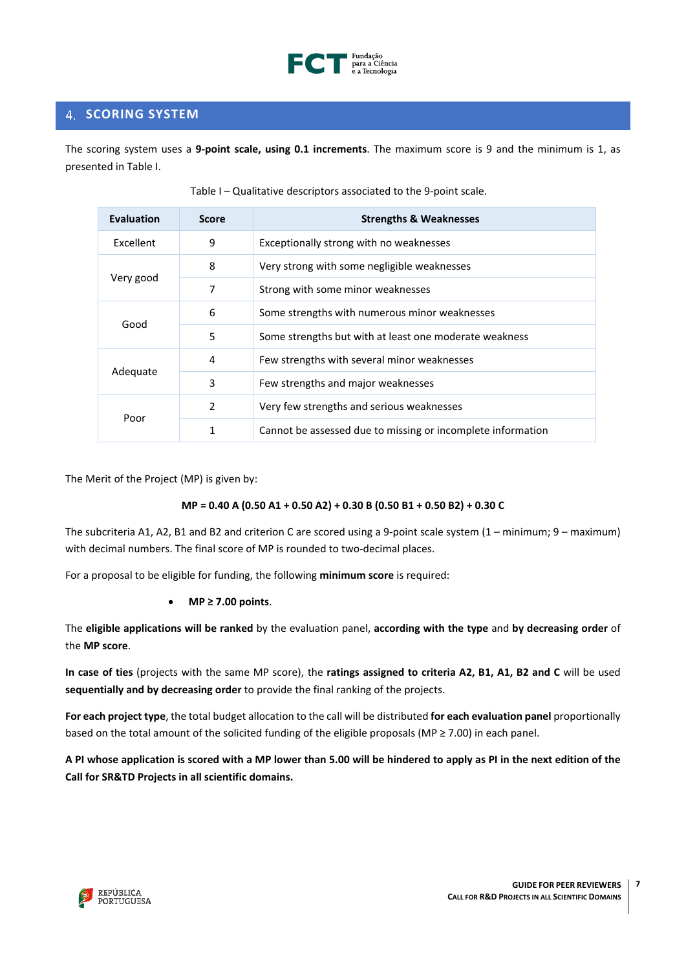

# <span id="page-6-0"></span>**4. SCORING SYSTEM**

The scoring system uses a **9-point scale, using 0.1 increments**. The maximum score is 9 and the minimum is 1, as presented in Table I.

| <b>Evaluation</b> | <b>Score</b>   | <b>Strengths &amp; Weaknesses</b>                           |  |
|-------------------|----------------|-------------------------------------------------------------|--|
| Excellent         | 9              | Exceptionally strong with no weaknesses                     |  |
|                   | 8              | Very strong with some negligible weaknesses                 |  |
| Very good         | 7              | Strong with some minor weaknesses                           |  |
|                   | 6              | Some strengths with numerous minor weaknesses               |  |
| Good              | 5              | Some strengths but with at least one moderate weakness      |  |
|                   | 4              | Few strengths with several minor weaknesses                 |  |
| Adequate          | 3              | Few strengths and major weaknesses                          |  |
| Poor              | $\mathfrak{p}$ | Very few strengths and serious weaknesses                   |  |
|                   | 1              | Cannot be assessed due to missing or incomplete information |  |

Table I – Qualitative descriptors associated to the 9-point scale.

The Merit of the Project (MP) is given by:

### **MP = 0.40 A (0.50 A1 + 0.50 A2) + 0.30 B (0.50 B1 + 0.50 B2) + 0.30 C**

The subcriteria A1, A2, B1 and B2 and criterion C are scored using a 9-point scale system (1 – minimum; 9 – maximum) with decimal numbers. The final score of MP is rounded to two-decimal places.

For a proposal to be eligible for funding, the following **minimum score** is required:

• **MP ≥ 7.00 points**.

The **eligible applications will be ranked** by the evaluation panel, **according with the type** and **by decreasing order** of the **MP score**.

**In case of ties** (projects with the same MP score), the **ratings assigned to criteria A2, B1, A1, B2 and C** will be used **sequentially and by decreasing order** to provide the final ranking of the projects.

**For each project type**, the total budget allocation to the call will be distributed **for each evaluation panel** proportionally based on the total amount of the solicited funding of the eligible proposals (MP ≥ 7.00) in each panel.

A PI whose application is scored with a MP lower than 5.00 will be hindered to apply as PI in the next edition of the **Call for SR&TD Projects in all scientific domains.**

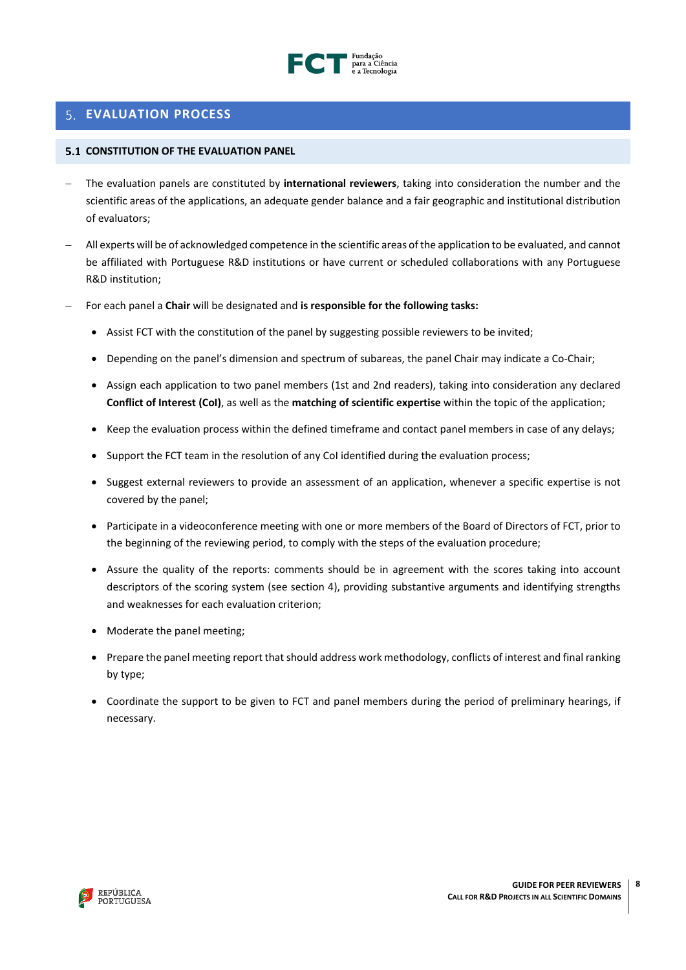

# <span id="page-7-0"></span>**EVALUATION PROCESS**

## <span id="page-7-1"></span>**CONSTITUTION OF THE EVALUATION PANEL**

- − The evaluation panels are constituted by **international reviewers**, taking into consideration the number and the scientific areas of the applications, an adequate gender balance and a fair geographic and institutional distribution of evaluators;
- − All experts will be of acknowledged competence in the scientific areas of the application to be evaluated, and cannot be affiliated with Portuguese R&D institutions or have current or scheduled collaborations with any Portuguese R&D institution;
- − For each panel a **Chair** will be designated and **is responsible for the following tasks:**
	- Assist FCT with the constitution of the panel by suggesting possible reviewers to be invited;
	- Depending on the panel's dimension and spectrum of subareas, the panel Chair may indicate a Co-Chair;
	- Assign each application to two panel members (1st and 2nd readers), taking into consideration any declared **Conflict of Interest (CoI)**, as well as the **matching of scientific expertise** within the topic of the application;
	- Keep the evaluation process within the defined timeframe and contact panel members in case of any delays;
	- Support the FCT team in the resolution of any CoI identified during the evaluation process;
	- Suggest external reviewers to provide an assessment of an application, whenever a specific expertise is not covered by the panel;
	- Participate in a videoconference meeting with one or more members of the Board of Directors of FCT, prior to the beginning of the reviewing period, to comply with the steps of the evaluation procedure;
	- Assure the quality of the reports: comments should be in agreement with the scores taking into account descriptors of the scoring system (see section 4), providing substantive arguments and identifying strengths and weaknesses for each evaluation criterion;
	- Moderate the panel meeting;
	- Prepare the panel meeting report that should address work methodology, conflicts of interest and final ranking by type;
	- Coordinate the support to be given to FCT and panel members during the period of preliminary hearings, if necessary.

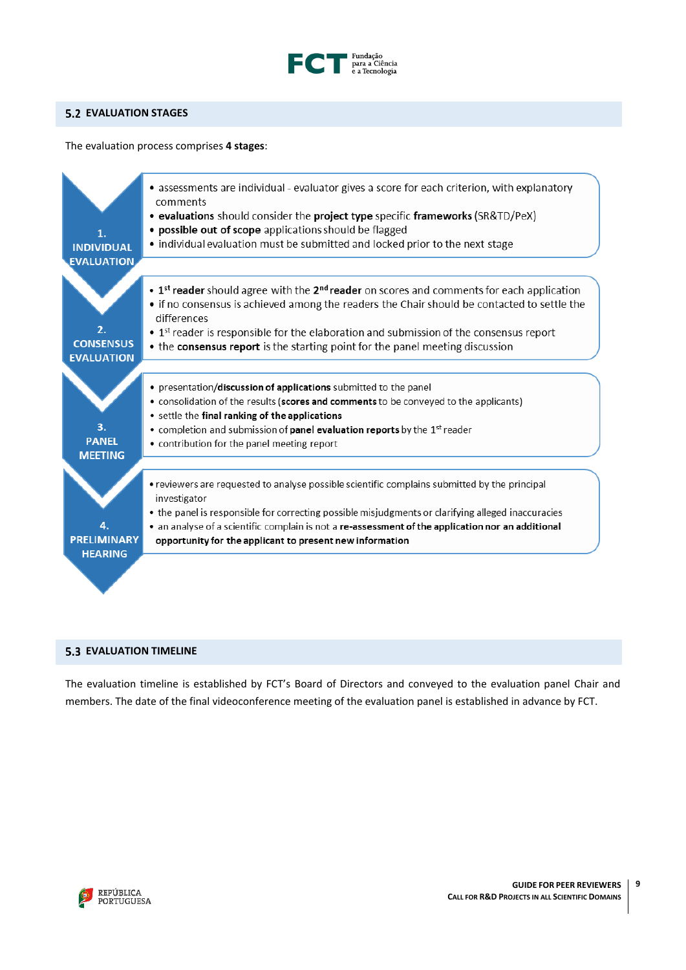

# <span id="page-8-0"></span>**EVALUATION STAGES**

The evaluation process comprises **4 stages**:



## <span id="page-8-1"></span>**5.3 EVALUATION TIMELINE**

The evaluation timeline is established by FCT's Board of Directors and conveyed to the evaluation panel Chair and members. The date of the final videoconference meeting of the evaluation panel is established in advance by FCT.

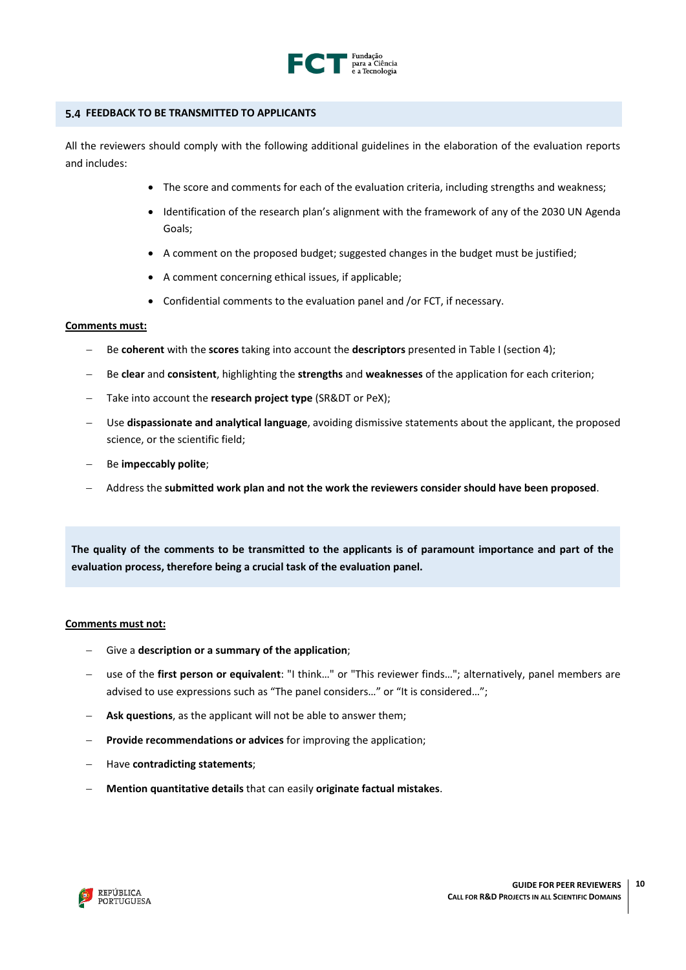

#### <span id="page-9-0"></span>**FEEDBACK TO BE TRANSMITTED TO APPLICANTS**

All the reviewers should comply with the following additional guidelines in the elaboration of the evaluation reports and includes:

- The score and comments for each of the evaluation criteria, including strengths and weakness;
- Identification of the research plan's alignment with the framework of any of the 2030 UN Agenda Goals;
- A comment on the proposed budget; suggested changes in the budget must be justified;
- A comment concerning ethical issues, if applicable;
- Confidential comments to the evaluation panel and /or FCT, if necessary.

#### **Comments must:**

- − Be **coherent** with the **scores** taking into account the **descriptors** presented in Table I (section 4);
- − Be **clear** and **consistent**, highlighting the **strengths** and **weaknesses** of the application for each criterion;
- Take into account the **research project type** (SR&DT or PeX):
- − Use **dispassionate and analytical language**, avoiding dismissive statements about the applicant, the proposed science, or the scientific field;
- − Be **impeccably polite**;
- − Address the **submitted work plan and not the work the reviewers consider should have been proposed**.

**The quality of the comments to be transmitted to the applicants is of paramount importance and part of the evaluation process, therefore being a crucial task of the evaluation panel.**

#### **Comments must not:**

- − Give a **description or a summary of the application**;
- − use of the **first person or equivalent**: "I think…" or "This reviewer finds…"; alternatively, panel members are advised to use expressions such as "The panel considers…" or "It is considered…";
- **Ask questions**, as the applicant will not be able to answer them;
- **Provide recommendations or advices** for improving the application;
- − Have **contradicting statements**;
- − **Mention quantitative details** that can easily **originate factual mistakes**.

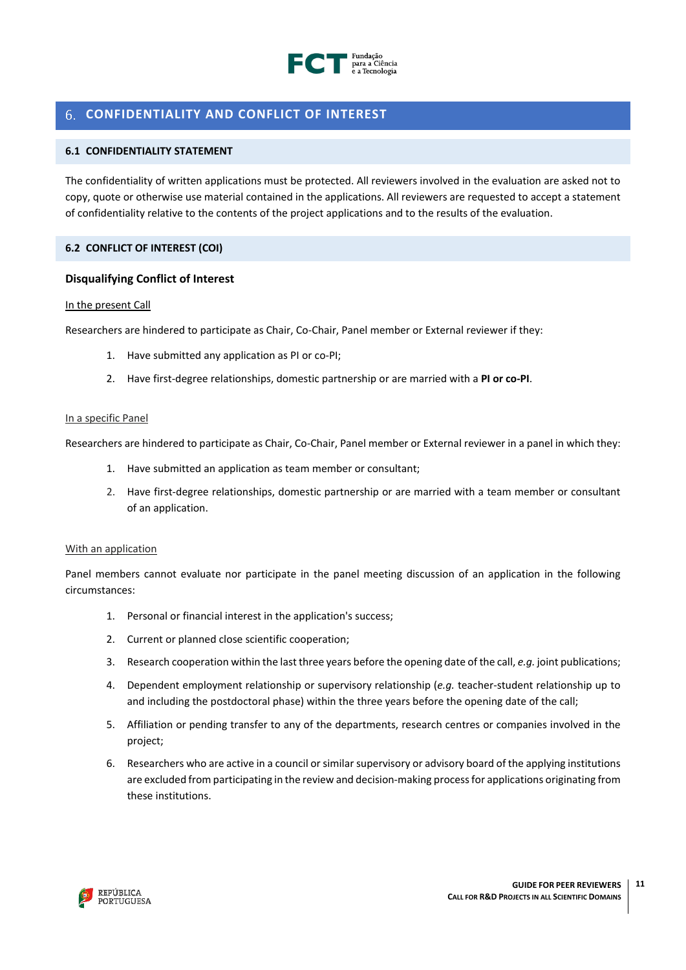

# <span id="page-10-0"></span>**CONFIDENTIALITY AND CONFLICT OF INTEREST**

# <span id="page-10-1"></span>**6.1 CONFIDENTIALITY STATEMENT**

The confidentiality of written applications must be protected. All reviewers involved in the evaluation are asked not to copy, quote or otherwise use material contained in the applications. All reviewers are requested to accept a statement of confidentiality relative to the contents of the project applications and to the results of the evaluation.

# <span id="page-10-2"></span>**6.2 CONFLICT OF INTEREST (COI)**

# **Disqualifying Conflict of Interest**

#### In the present Call

Researchers are hindered to participate as Chair, Co-Chair, Panel member or External reviewer if they:

- 1. Have submitted any application as PI or co-PI;
- 2. Have first-degree relationships, domestic partnership or are married with a **PI or co-PI**.

#### In a specific Panel

Researchers are hindered to participate as Chair, Co-Chair, Panel member or External reviewer in a panel in which they:

- 1. Have submitted an application as team member or consultant;
- 2. Have first-degree relationships, domestic partnership or are married with a team member or consultant of an application.

### With an application

Panel members cannot evaluate nor participate in the panel meeting discussion of an application in the following circumstances:

- 1. Personal or financial interest in the application's success;
- 2. Current or planned close scientific cooperation;
- 3. Research cooperation within the last three years before the opening date of the call, *e.g.* joint publications;
- 4. Dependent employment relationship or supervisory relationship (*e.g.* teacher-student relationship up to and including the postdoctoral phase) within the three years before the opening date of the call;
- 5. Affiliation or pending transfer to any of the departments, research centres or companies involved in the project;
- 6. Researchers who are active in a council or similar supervisory or advisory board of the applying institutions are excluded from participating in the review and decision-making process for applications originating from these institutions.

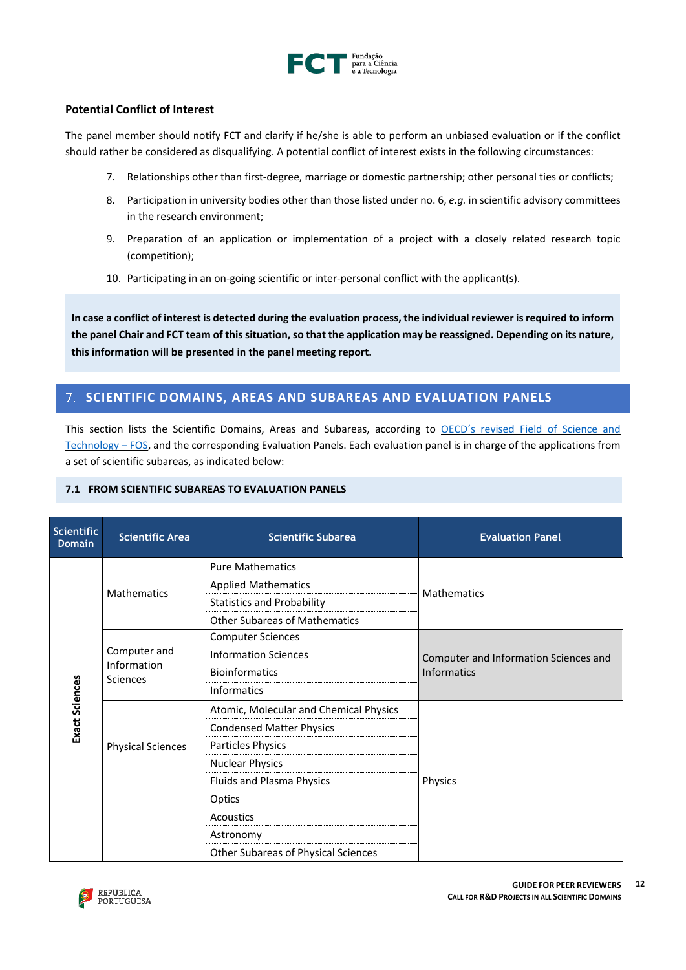

# **Potential Conflict of Interest**

The panel member should notify FCT and clarify if he/she is able to perform an unbiased evaluation or if the conflict should rather be considered as disqualifying. A potential conflict of interest exists in the following circumstances:

- 7. Relationships other than first-degree, marriage or domestic partnership; other personal ties or conflicts;
- 8. Participation in university bodies other than those listed under no. 6, *e.g.* in scientific advisory committees in the research environment;
- 9. Preparation of an application or implementation of a project with a closely related research topic (competition);
- 10. Participating in an on-going scientific or inter-personal conflict with the applicant(s).

**In case a conflict of interest is detected during the evaluation process, the individual reviewer is required to inform the panel Chair and FCT team of this situation, so that the application may be reassigned. Depending on its nature, this information will be presented in the panel meeting report.**

# <span id="page-11-0"></span>**SCIENTIFIC DOMAINS, AREAS AND SUBAREAS AND EVALUATION PANELS**

This section lists the Scientific Domains, Areas and Subareas, according to OECD´s revised Field of [Science](https://www.oecd.org/science/inno/38235147.pdf) and [Technology](https://www.oecd.org/science/inno/38235147.pdf) – FOS, and the corresponding Evaluation Panels. Each evaluation panel is in charge of the applications from a set of scientific subareas, as indicated below:

# <span id="page-11-1"></span>**7.1 FROM SCIENTIFIC SUBAREAS TO EVALUATION PANELS**

| Scientific<br><b>Domain</b> | <b>Scientific Area</b>         | <b>Scientific Subarea</b>                  | <b>Evaluation Panel</b>               |
|-----------------------------|--------------------------------|--------------------------------------------|---------------------------------------|
|                             | <b>Mathematics</b>             | <b>Pure Mathematics</b>                    |                                       |
|                             |                                | <b>Applied Mathematics</b>                 | <b>Mathematics</b>                    |
|                             |                                | <b>Statistics and Probability</b>          |                                       |
|                             |                                | <b>Other Subareas of Mathematics</b>       |                                       |
|                             |                                | <b>Computer Sciences</b>                   |                                       |
|                             | Computer and                   | <b>Information Sciences</b>                | Computer and Information Sciences and |
|                             | Information<br><b>Sciences</b> | <b>Bioinformatics</b>                      | <b>Informatics</b>                    |
|                             |                                | <b>Informatics</b>                         |                                       |
| Exact Sciences              | <b>Physical Sciences</b>       | Atomic, Molecular and Chemical Physics     |                                       |
|                             |                                | <b>Condensed Matter Physics</b>            |                                       |
|                             |                                | Particles Physics                          |                                       |
|                             |                                | <b>Nuclear Physics</b>                     |                                       |
|                             |                                | Fluids and Plasma Physics                  | Physics                               |
|                             |                                | Optics                                     |                                       |
|                             |                                | <b>Acoustics</b>                           |                                       |
|                             |                                | Astronomy                                  |                                       |
|                             |                                | <b>Other Subareas of Physical Sciences</b> |                                       |

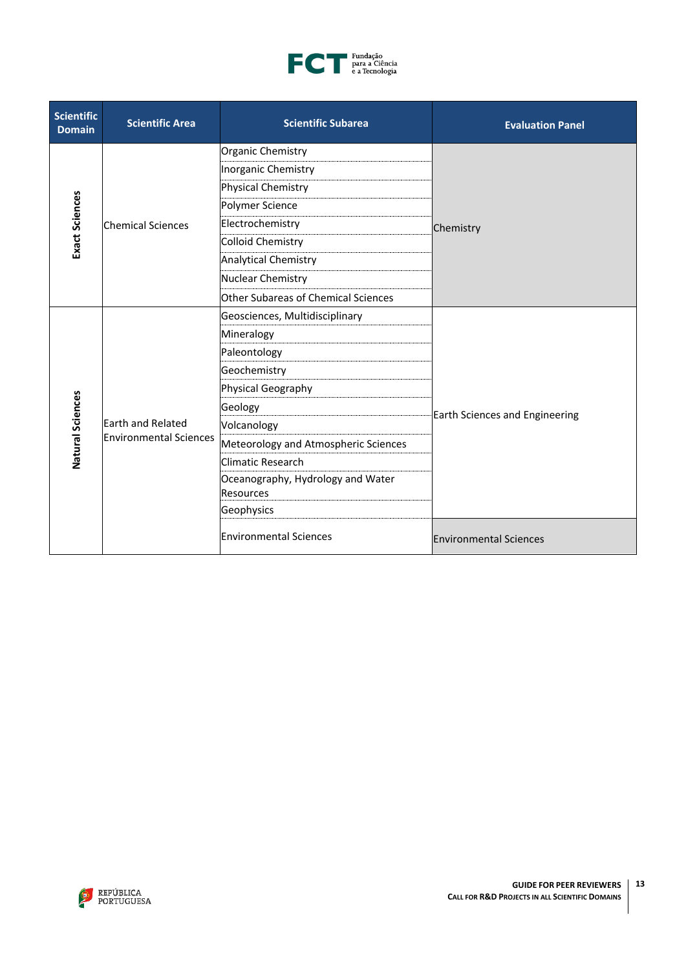

| <b>Scientific</b><br><b>Domain</b> | <b>Scientific Area</b>        | <b>Scientific Subarea</b>            | <b>Evaluation Panel</b>        |                               |
|------------------------------------|-------------------------------|--------------------------------------|--------------------------------|-------------------------------|
|                                    |                               | Organic Chemistry                    |                                |                               |
|                                    |                               | Inorganic Chemistry                  |                                |                               |
|                                    |                               | Physical Chemistry                   |                                |                               |
|                                    |                               | Polymer Science                      |                                |                               |
| <b>Exact Sciences</b>              | <b>Chemical Sciences</b>      | Electrochemistry                     | Chemistry                      |                               |
|                                    |                               | Colloid Chemistry                    |                                |                               |
|                                    |                               | <b>Analytical Chemistry</b>          |                                |                               |
|                                    |                               | Nuclear Chemistry                    |                                |                               |
|                                    |                               | Other Subareas of Chemical Sciences  |                                |                               |
|                                    |                               | Geosciences, Multidisciplinary       |                                |                               |
|                                    |                               | Mineralogy                           |                                |                               |
|                                    |                               | Paleontology                         |                                |                               |
|                                    |                               | Geochemistry                         |                                |                               |
|                                    |                               | Physical Geography                   |                                |                               |
| Natural Sciences                   |                               | Geology                              | Earth Sciences and Engineering |                               |
|                                    | Earth and Related             | Volcanology                          |                                |                               |
|                                    | <b>Environmental Sciences</b> | Meteorology and Atmospheric Sciences |                                |                               |
|                                    |                               | Climatic Research                    |                                |                               |
|                                    |                               | Oceanography, Hydrology and Water    |                                |                               |
|                                    |                               | Resources                            |                                |                               |
|                                    |                               | Geophysics                           |                                |                               |
|                                    |                               |                                      | <b>Environmental Sciences</b>  | <b>Environmental Sciences</b> |

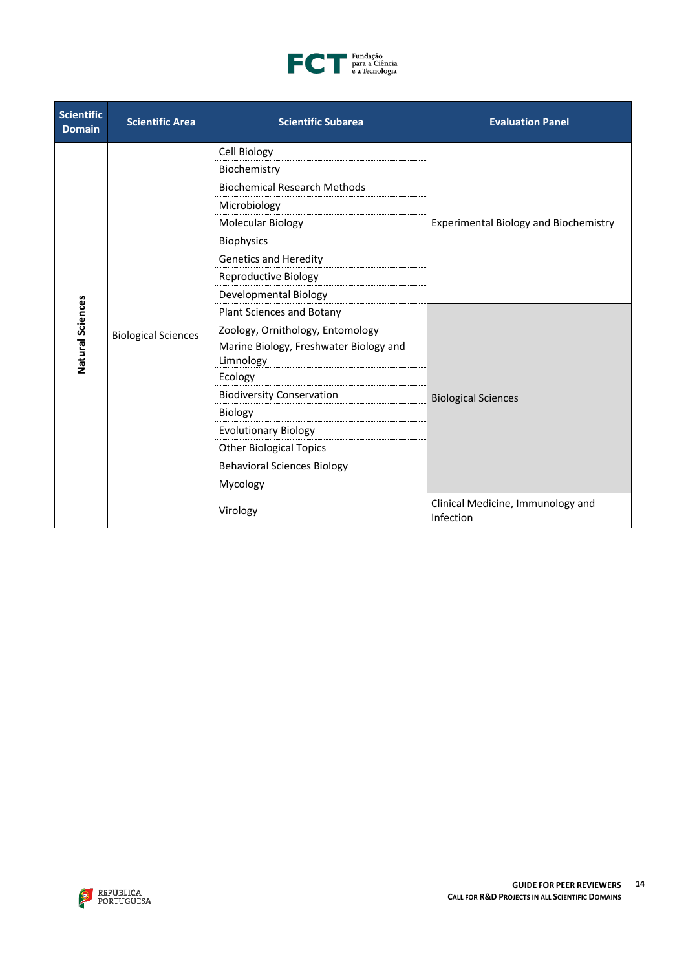

| <b>Scientific</b><br><b>Domain</b> | <b>Scientific Area</b>     | <b>Scientific Subarea</b>                           | <b>Evaluation Panel</b>                        |
|------------------------------------|----------------------------|-----------------------------------------------------|------------------------------------------------|
|                                    |                            | Cell Biology                                        |                                                |
|                                    |                            | Biochemistry                                        |                                                |
|                                    |                            | <b>Biochemical Research Methods</b>                 |                                                |
|                                    |                            | Microbiology                                        |                                                |
|                                    |                            | Molecular Biology                                   | <b>Experimental Biology and Biochemistry</b>   |
|                                    |                            | <b>Biophysics</b>                                   |                                                |
|                                    |                            | <b>Genetics and Heredity</b>                        |                                                |
|                                    | <b>Biological Sciences</b> | Reproductive Biology                                |                                                |
|                                    |                            | Developmental Biology                               |                                                |
|                                    |                            | Plant Sciences and Botany                           |                                                |
|                                    |                            | Zoology, Ornithology, Entomology                    |                                                |
| Natural Sciences                   |                            | Marine Biology, Freshwater Biology and<br>Limnology |                                                |
|                                    |                            | Ecology                                             |                                                |
|                                    |                            | <b>Biodiversity Conservation</b>                    | <b>Biological Sciences</b>                     |
|                                    |                            | Biology                                             |                                                |
|                                    |                            | <b>Evolutionary Biology</b>                         |                                                |
|                                    |                            | <b>Other Biological Topics</b>                      |                                                |
|                                    |                            | <b>Behavioral Sciences Biology</b>                  |                                                |
|                                    |                            | Mycology                                            |                                                |
|                                    |                            | Virology                                            | Clinical Medicine, Immunology and<br>Infection |

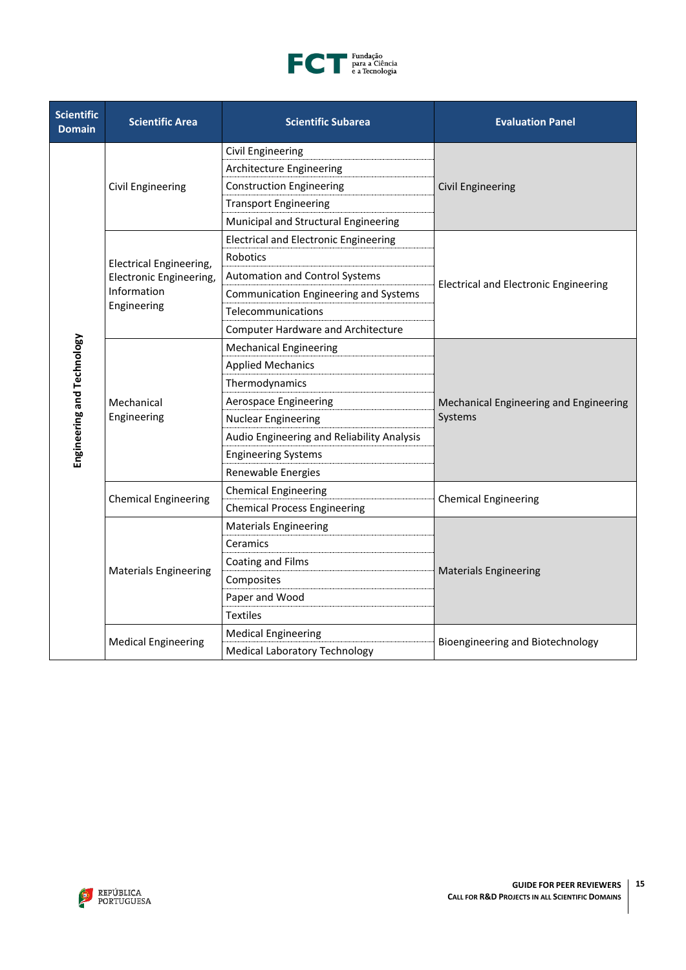

| <b>Scientific</b><br><b>Domain</b> | <b>Scientific Area</b>         | <b>Scientific Subarea</b>                    | <b>Evaluation Panel</b>                           |
|------------------------------------|--------------------------------|----------------------------------------------|---------------------------------------------------|
|                                    |                                | <b>Civil Engineering</b>                     |                                                   |
|                                    |                                | Architecture Engineering                     |                                                   |
|                                    | Civil Engineering              | <b>Construction Engineering</b>              | <b>Civil Engineering</b>                          |
|                                    |                                | <b>Transport Engineering</b>                 |                                                   |
|                                    |                                | Municipal and Structural Engineering         |                                                   |
|                                    |                                | <b>Electrical and Electronic Engineering</b> |                                                   |
|                                    | <b>Electrical Engineering,</b> | Robotics                                     |                                                   |
|                                    | Electronic Engineering,        | <b>Automation and Control Systems</b>        |                                                   |
|                                    | Information                    | Communication Engineering and Systems        | <b>Electrical and Electronic Engineering</b>      |
|                                    | Engineering                    | Telecommunications                           |                                                   |
|                                    |                                | <b>Computer Hardware and Architecture</b>    |                                                   |
|                                    |                                | <b>Mechanical Engineering</b>                |                                                   |
|                                    | Mechanical<br>Engineering      | <b>Applied Mechanics</b>                     |                                                   |
|                                    |                                | Thermodynamics                               |                                                   |
|                                    |                                | <b>Aerospace Engineering</b>                 | Mechanical Engineering and Engineering<br>Systems |
|                                    |                                | <b>Nuclear Engineering</b>                   |                                                   |
| Engineering and Technology         |                                | Audio Engineering and Reliability Analysis   |                                                   |
|                                    |                                | <b>Engineering Systems</b>                   |                                                   |
|                                    |                                | Renewable Energies                           |                                                   |
|                                    | <b>Chemical Engineering</b>    | <b>Chemical Engineering</b>                  | <b>Chemical Engineering</b>                       |
|                                    |                                | <b>Chemical Process Engineering</b>          |                                                   |
|                                    |                                | <b>Materials Engineering</b>                 |                                                   |
|                                    |                                | Ceramics                                     |                                                   |
|                                    | <b>Materials Engineering</b>   | Coating and Films                            | <b>Materials Engineering</b>                      |
|                                    |                                | Composites                                   |                                                   |
|                                    |                                | Paper and Wood                               |                                                   |
|                                    |                                | <b>Textiles</b>                              |                                                   |
|                                    |                                | <b>Medical Engineering</b>                   | Bioengineering and Biotechnology                  |
|                                    | <b>Medical Engineering</b>     | <b>Medical Laboratory Technology</b>         |                                                   |

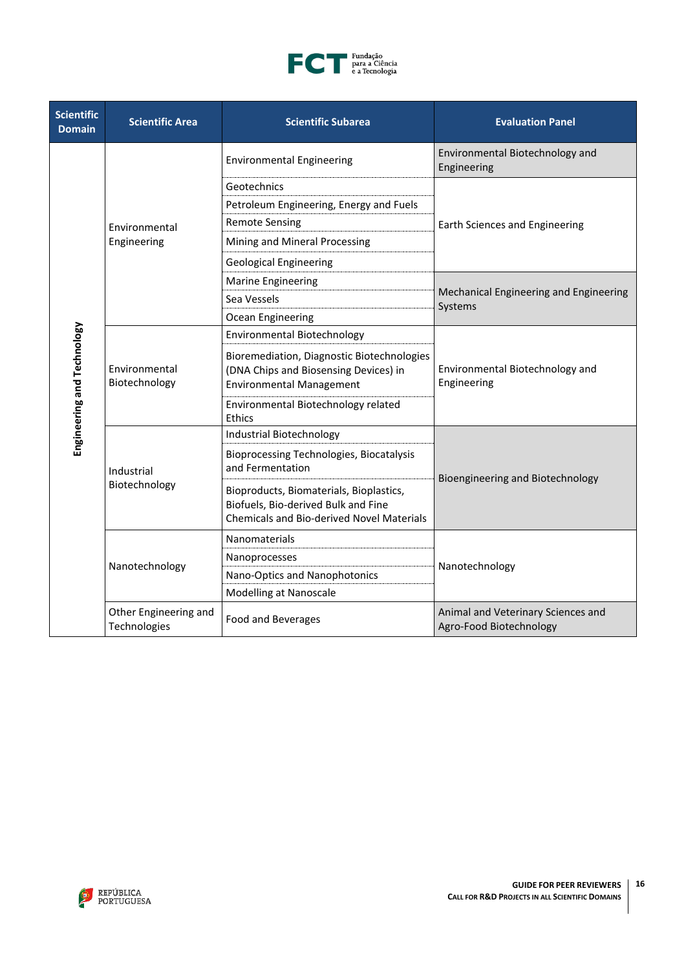

| <b>Scientific</b><br><b>Domain</b> | <b>Scientific Area</b>                | <b>Scientific Subarea</b>                                                                                                          | <b>Evaluation Panel</b>                                       |
|------------------------------------|---------------------------------------|------------------------------------------------------------------------------------------------------------------------------------|---------------------------------------------------------------|
|                                    |                                       | <b>Environmental Engineering</b>                                                                                                   | Environmental Biotechnology and<br>Engineering                |
|                                    |                                       | Geotechnics                                                                                                                        |                                                               |
|                                    |                                       | Petroleum Engineering, Energy and Fuels                                                                                            |                                                               |
|                                    | Environmental                         | <b>Remote Sensing</b>                                                                                                              | Earth Sciences and Engineering                                |
|                                    | Engineering                           | Mining and Mineral Processing                                                                                                      |                                                               |
|                                    |                                       | <b>Geological Engineering</b>                                                                                                      |                                                               |
|                                    |                                       | <b>Marine Engineering</b>                                                                                                          |                                                               |
|                                    |                                       | Sea Vessels                                                                                                                        | Mechanical Engineering and Engineering<br>Systems             |
|                                    |                                       | Ocean Engineering                                                                                                                  |                                                               |
|                                    | Environmental<br>Biotechnology        | Environmental Biotechnology                                                                                                        |                                                               |
| Engineering and Technology         |                                       | Bioremediation, Diagnostic Biotechnologies<br>(DNA Chips and Biosensing Devices) in<br><b>Environmental Management</b>             | Environmental Biotechnology and<br>Engineering                |
|                                    |                                       | Environmental Biotechnology related<br>Ethics                                                                                      |                                                               |
|                                    | Industrial<br>Biotechnology           | Industrial Biotechnology                                                                                                           |                                                               |
|                                    |                                       | Bioprocessing Technologies, Biocatalysis<br>and Fermentation                                                                       |                                                               |
|                                    |                                       | Bioproducts, Biomaterials, Bioplastics,<br>Biofuels, Bio-derived Bulk and Fine<br><b>Chemicals and Bio-derived Novel Materials</b> | Bioengineering and Biotechnology                              |
|                                    |                                       | Nanomaterials                                                                                                                      |                                                               |
|                                    |                                       | Nanoprocesses                                                                                                                      |                                                               |
|                                    | Nanotechnology                        | Nano-Optics and Nanophotonics                                                                                                      | Nanotechnology                                                |
|                                    |                                       | Modelling at Nanoscale                                                                                                             |                                                               |
|                                    | Other Engineering and<br>Technologies | Food and Beverages                                                                                                                 | Animal and Veterinary Sciences and<br>Agro-Food Biotechnology |

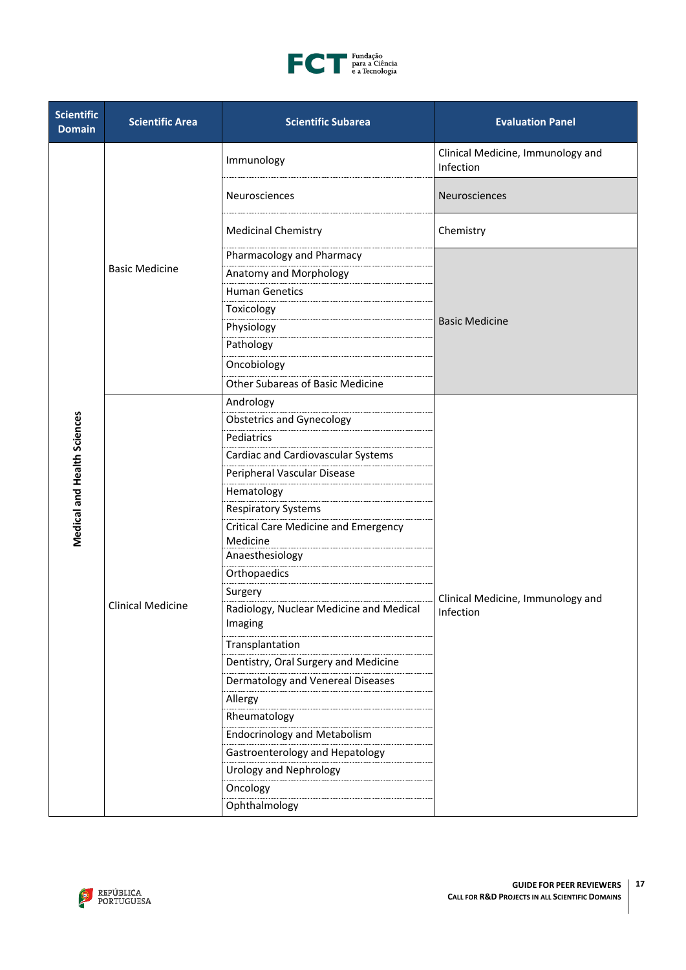

| <b>Scientific</b><br><b>Domain</b> | <b>Scientific Area</b>   | <b>Scientific Subarea</b>                               | <b>Evaluation Panel</b>                        |
|------------------------------------|--------------------------|---------------------------------------------------------|------------------------------------------------|
|                                    |                          | Immunology                                              | Clinical Medicine, Immunology and<br>Infection |
|                                    |                          | Neurosciences                                           | Neurosciences                                  |
|                                    |                          | <b>Medicinal Chemistry</b>                              | Chemistry                                      |
|                                    |                          | Pharmacology and Pharmacy                               |                                                |
|                                    | <b>Basic Medicine</b>    | Anatomy and Morphology                                  |                                                |
|                                    |                          | <b>Human Genetics</b>                                   |                                                |
|                                    |                          | Toxicology                                              |                                                |
|                                    |                          | Physiology                                              | <b>Basic Medicine</b>                          |
|                                    |                          | Pathology                                               |                                                |
|                                    |                          | Oncobiology                                             |                                                |
|                                    |                          | <b>Other Subareas of Basic Medicine</b>                 |                                                |
|                                    |                          | Andrology                                               |                                                |
|                                    |                          | <b>Obstetrics and Gynecology</b>                        |                                                |
|                                    |                          | Pediatrics                                              |                                                |
|                                    |                          | Cardiac and Cardiovascular Systems                      |                                                |
|                                    |                          | Peripheral Vascular Disease                             |                                                |
|                                    |                          | Hematology                                              |                                                |
|                                    |                          | <b>Respiratory Systems</b>                              |                                                |
| <b>Medical and Health Sciences</b> |                          | <b>Critical Care Medicine and Emergency</b><br>Medicine |                                                |
|                                    |                          | Anaesthesiology                                         |                                                |
|                                    |                          | Orthopaedics                                            |                                                |
|                                    |                          | Surgery                                                 | Clinical Medicine, Immunology and              |
|                                    | <b>Clinical Medicine</b> | Radiology, Nuclear Medicine and Medical<br>Imaging      | Infection                                      |
|                                    |                          | Transplantation                                         |                                                |
|                                    |                          | Dentistry, Oral Surgery and Medicine                    |                                                |
|                                    |                          | Dermatology and Venereal Diseases                       |                                                |
|                                    |                          | Allergy                                                 |                                                |
|                                    |                          | Rheumatology                                            |                                                |
|                                    |                          | <b>Endocrinology and Metabolism</b>                     |                                                |
|                                    |                          | Gastroenterology and Hepatology                         |                                                |
|                                    |                          | <b>Urology and Nephrology</b>                           |                                                |
|                                    |                          | Oncology                                                |                                                |
|                                    |                          | Ophthalmology                                           |                                                |

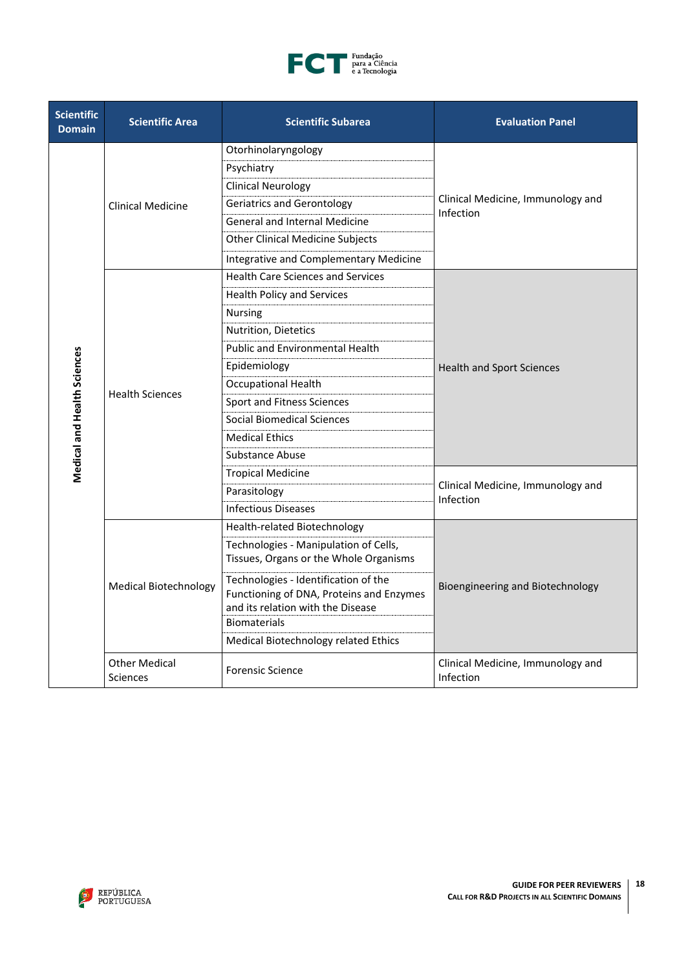

| <b>Scientific</b><br><b>Domain</b> | <b>Scientific Area</b>                  | <b>Scientific Subarea</b>                                                                                                                    | <b>Evaluation Panel</b>                        |
|------------------------------------|-----------------------------------------|----------------------------------------------------------------------------------------------------------------------------------------------|------------------------------------------------|
|                                    |                                         | Otorhinolaryngology                                                                                                                          |                                                |
|                                    |                                         | Psychiatry                                                                                                                                   |                                                |
|                                    |                                         | <b>Clinical Neurology</b>                                                                                                                    |                                                |
|                                    | <b>Clinical Medicine</b>                | <b>Geriatrics and Gerontology</b>                                                                                                            | Clinical Medicine, Immunology and<br>Infection |
|                                    |                                         | <b>General and Internal Medicine</b>                                                                                                         |                                                |
|                                    |                                         | <b>Other Clinical Medicine Subjects</b>                                                                                                      |                                                |
|                                    |                                         | Integrative and Complementary Medicine                                                                                                       |                                                |
|                                    |                                         | <b>Health Care Sciences and Services</b>                                                                                                     |                                                |
|                                    |                                         | <b>Health Policy and Services</b>                                                                                                            |                                                |
|                                    |                                         | <b>Nursing</b>                                                                                                                               |                                                |
|                                    |                                         | Nutrition, Dietetics                                                                                                                         |                                                |
|                                    |                                         | <b>Public and Environmental Health</b>                                                                                                       |                                                |
|                                    | <b>Health Sciences</b>                  | Epidemiology                                                                                                                                 | <b>Health and Sport Sciences</b>               |
| <b>Medical and Health Sciences</b> |                                         | <b>Occupational Health</b>                                                                                                                   |                                                |
|                                    |                                         | Sport and Fitness Sciences                                                                                                                   |                                                |
|                                    |                                         | Social Biomedical Sciences                                                                                                                   |                                                |
|                                    |                                         | <b>Medical Ethics</b>                                                                                                                        |                                                |
|                                    |                                         | Substance Abuse                                                                                                                              |                                                |
|                                    |                                         | <b>Tropical Medicine</b>                                                                                                                     |                                                |
|                                    |                                         | Parasitology                                                                                                                                 | Clinical Medicine, Immunology and<br>Infection |
|                                    |                                         | <b>Infectious Diseases</b>                                                                                                                   |                                                |
|                                    |                                         | Health-related Biotechnology                                                                                                                 |                                                |
|                                    |                                         | Technologies - Manipulation of Cells,<br>Tissues, Organs or the Whole Organisms                                                              |                                                |
|                                    | <b>Medical Biotechnology</b>            | Technologies - Identification of the<br>Functioning of DNA, Proteins and Enzymes<br>and its relation with the Disease<br><b>Biomaterials</b> | Bioengineering and Biotechnology               |
|                                    |                                         | Medical Biotechnology related Ethics                                                                                                         |                                                |
|                                    | <b>Other Medical</b><br><b>Sciences</b> | <b>Forensic Science</b>                                                                                                                      | Clinical Medicine, Immunology and<br>Infection |

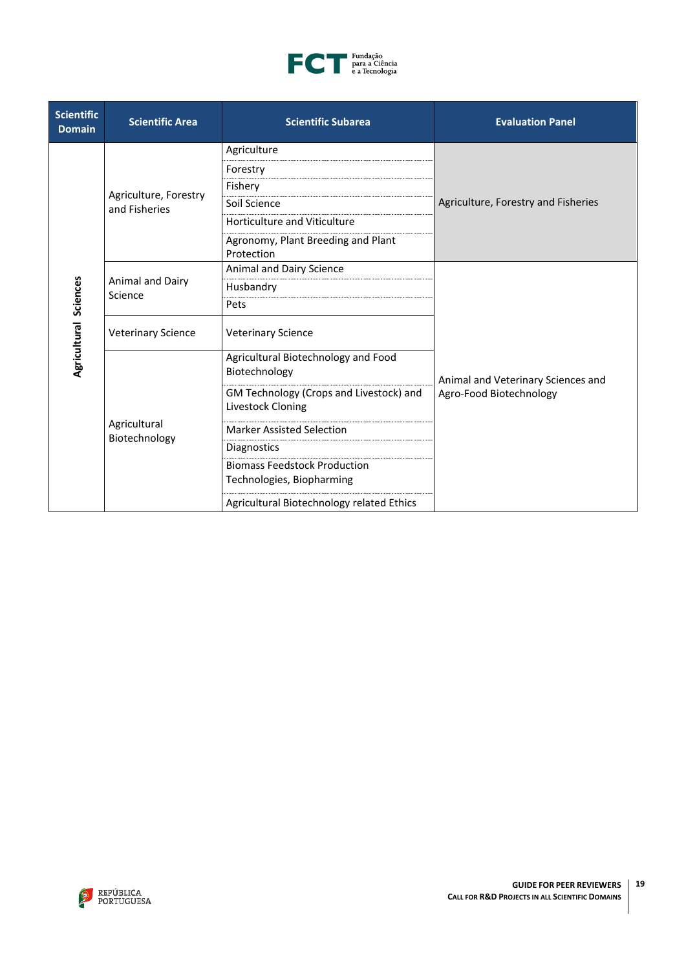

| <b>Scientific</b><br><b>Domain</b> | <b>Scientific Area</b>      | <b>Scientific Subarea</b>                                    | <b>Evaluation Panel</b>                                       |
|------------------------------------|-----------------------------|--------------------------------------------------------------|---------------------------------------------------------------|
|                                    |                             | Agriculture                                                  |                                                               |
|                                    |                             | Forestry                                                     |                                                               |
|                                    | Agriculture, Forestry       | Fishery                                                      |                                                               |
|                                    | and Fisheries               | Soil Science                                                 | Agriculture, Forestry and Fisheries                           |
|                                    |                             | <b>Horticulture and Viticulture</b>                          |                                                               |
|                                    |                             | Agronomy, Plant Breeding and Plant<br>Protection             |                                                               |
|                                    |                             | Animal and Dairy Science                                     |                                                               |
|                                    | Animal and Dairy<br>Science | Husbandry                                                    | Animal and Veterinary Sciences and<br>Agro-Food Biotechnology |
|                                    |                             | Pets                                                         |                                                               |
| Agricultural Sciences              | <b>Veterinary Science</b>   | <b>Veterinary Science</b>                                    |                                                               |
|                                    |                             | Agricultural Biotechnology and Food<br>Biotechnology         |                                                               |
|                                    |                             | GM Technology (Crops and Livestock) and<br>Livestock Cloning |                                                               |
|                                    | Agricultural                | <b>Marker Assisted Selection</b>                             |                                                               |
|                                    | Biotechnology               | Diagnostics                                                  |                                                               |
|                                    |                             | <b>Biomass Feedstock Production</b>                          |                                                               |
|                                    |                             | Technologies, Biopharming                                    |                                                               |
|                                    |                             | Agricultural Biotechnology related Ethics                    |                                                               |

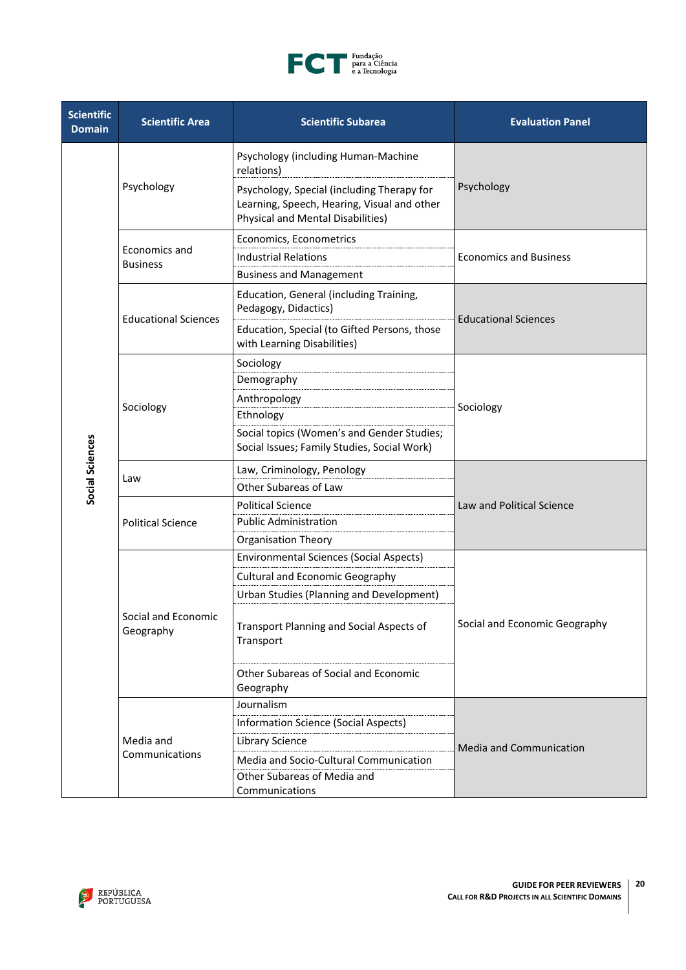

| <b>Scientific</b><br><b>Domain</b> | <b>Scientific Area</b>           | <b>Scientific Subarea</b>                                                                                                                           | <b>Evaluation Panel</b>       |  |
|------------------------------------|----------------------------------|-----------------------------------------------------------------------------------------------------------------------------------------------------|-------------------------------|--|
|                                    |                                  | Psychology (including Human-Machine<br>relations)                                                                                                   |                               |  |
|                                    | Psychology                       | Psychology<br>Psychology, Special (including Therapy for<br>Learning, Speech, Hearing, Visual and other<br><b>Physical and Mental Disabilities)</b> |                               |  |
|                                    |                                  | Economics, Econometrics                                                                                                                             |                               |  |
|                                    | Economics and<br><b>Business</b> | <b>Industrial Relations</b>                                                                                                                         | <b>Economics and Business</b> |  |
|                                    |                                  | <b>Business and Management</b>                                                                                                                      |                               |  |
|                                    | <b>Educational Sciences</b>      | Education, General (including Training,<br>Pedagogy, Didactics)                                                                                     |                               |  |
|                                    |                                  | Education, Special (to Gifted Persons, those<br>with Learning Disabilities)                                                                         | <b>Educational Sciences</b>   |  |
|                                    |                                  | Sociology                                                                                                                                           |                               |  |
|                                    |                                  | Demography                                                                                                                                          |                               |  |
|                                    |                                  | Anthropology                                                                                                                                        |                               |  |
|                                    | Sociology                        | Ethnology                                                                                                                                           | Sociology                     |  |
| Social Sciences                    |                                  | Social topics (Women's and Gender Studies;<br>Social Issues; Family Studies, Social Work)                                                           |                               |  |
|                                    | Law                              | Law, Criminology, Penology                                                                                                                          | Law and Political Science     |  |
|                                    |                                  | Other Subareas of Law                                                                                                                               |                               |  |
|                                    | <b>Political Science</b>         | <b>Political Science</b>                                                                                                                            |                               |  |
|                                    |                                  | <b>Public Administration</b>                                                                                                                        |                               |  |
|                                    |                                  | <b>Organisation Theory</b>                                                                                                                          |                               |  |
|                                    | Social and Economic<br>Geography | <b>Environmental Sciences (Social Aspects)</b>                                                                                                      |                               |  |
|                                    |                                  | <b>Cultural and Economic Geography</b>                                                                                                              |                               |  |
|                                    |                                  | Urban Studies (Planning and Development)                                                                                                            |                               |  |
|                                    |                                  | <b>Transport Planning and Social Aspects of</b><br>Transport                                                                                        | Social and Economic Geography |  |
|                                    |                                  | Other Subareas of Social and Economic<br>Geography                                                                                                  |                               |  |
|                                    |                                  | Journalism                                                                                                                                          |                               |  |
|                                    | Media and<br>Communications      | <b>Information Science (Social Aspects)</b>                                                                                                         |                               |  |
|                                    |                                  | <b>Library Science</b>                                                                                                                              | Media and Communication       |  |
|                                    |                                  | Media and Socio-Cultural Communication                                                                                                              |                               |  |
|                                    |                                  | Other Subareas of Media and                                                                                                                         |                               |  |
|                                    |                                  | Communications                                                                                                                                      |                               |  |

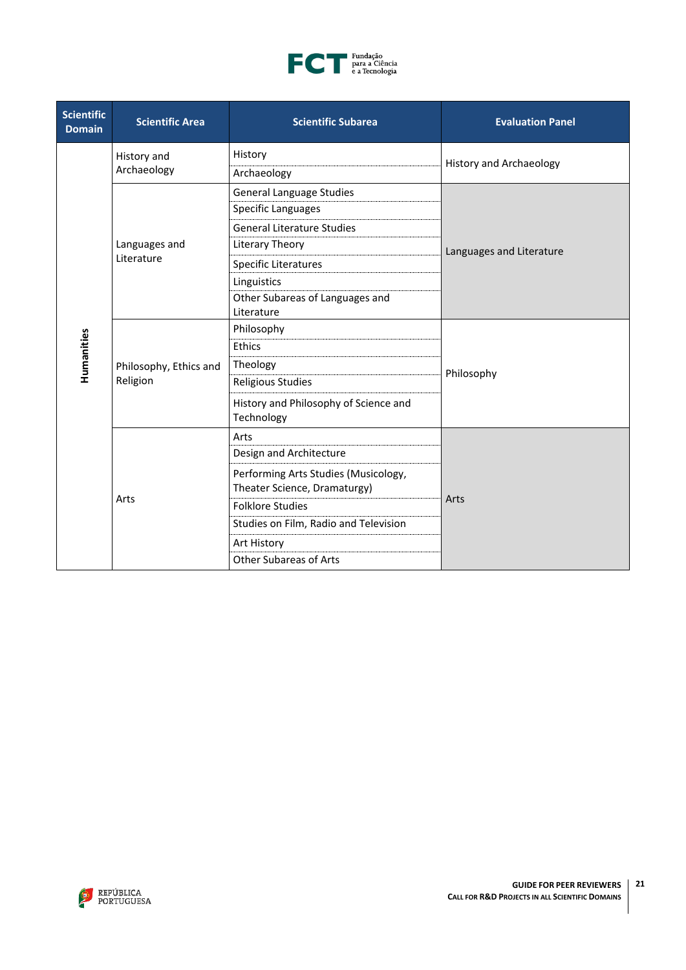

| <b>Scientific</b><br><b>Domain</b> | <b>Scientific Area</b>             | <b>Scientific Subarea</b>                                            | <b>Evaluation Panel</b>        |  |
|------------------------------------|------------------------------------|----------------------------------------------------------------------|--------------------------------|--|
|                                    | History and                        | History                                                              | <b>History and Archaeology</b> |  |
|                                    | Archaeology                        | Archaeology                                                          |                                |  |
|                                    |                                    | <b>General Language Studies</b>                                      |                                |  |
|                                    |                                    | Specific Languages                                                   |                                |  |
|                                    |                                    | <b>General Literature Studies</b>                                    |                                |  |
|                                    | Languages and                      | Literary Theory                                                      | Languages and Literature       |  |
|                                    | Literature                         | Specific Literatures                                                 |                                |  |
|                                    |                                    | Linguistics                                                          |                                |  |
|                                    |                                    | Other Subareas of Languages and<br>Literature                        |                                |  |
|                                    | Philosophy, Ethics and<br>Religion | Philosophy                                                           | Philosophy                     |  |
| Humanities                         |                                    | <b>Ethics</b>                                                        |                                |  |
|                                    |                                    | Theology                                                             |                                |  |
|                                    |                                    | <b>Religious Studies</b>                                             |                                |  |
|                                    |                                    | History and Philosophy of Science and<br>Technology                  |                                |  |
|                                    | Arts                               | Arts                                                                 |                                |  |
|                                    |                                    | Design and Architecture                                              | Arts                           |  |
|                                    |                                    | Performing Arts Studies (Musicology,<br>Theater Science, Dramaturgy) |                                |  |
|                                    |                                    | <b>Folklore Studies</b>                                              |                                |  |
|                                    |                                    | Studies on Film, Radio and Television                                |                                |  |
|                                    |                                    | Art History                                                          |                                |  |
|                                    |                                    | <b>Other Subareas of Arts</b>                                        |                                |  |

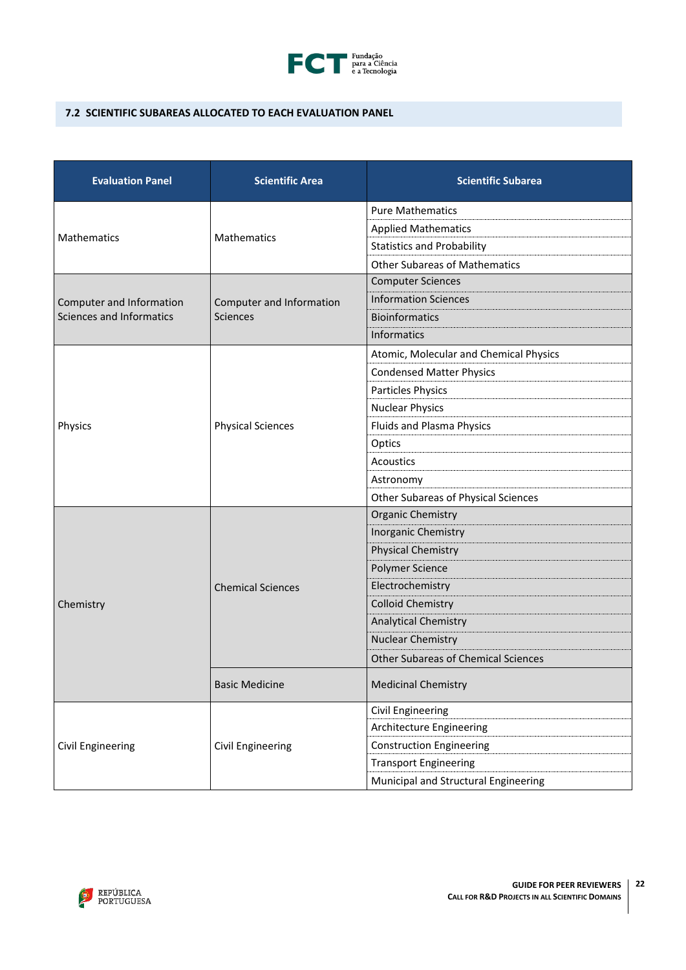

# <span id="page-21-0"></span>**7.2 SCIENTIFIC SUBAREAS ALLOCATED TO EACH EVALUATION PANEL**

| <b>Evaluation Panel</b>  | <b>Scientific Area</b>   | <b>Scientific Subarea</b>                  |
|--------------------------|--------------------------|--------------------------------------------|
|                          | <b>Mathematics</b>       | <b>Pure Mathematics</b>                    |
| Mathematics              |                          | <b>Applied Mathematics</b>                 |
|                          |                          | <b>Statistics and Probability</b>          |
|                          |                          | <b>Other Subareas of Mathematics</b>       |
|                          | Computer and Information | <b>Computer Sciences</b>                   |
| Computer and Information |                          | <b>Information Sciences</b>                |
| Sciences and Informatics | <b>Sciences</b>          | <b>Bioinformatics</b>                      |
|                          |                          | Informatics                                |
|                          |                          | Atomic, Molecular and Chemical Physics     |
|                          |                          | <b>Condensed Matter Physics</b>            |
|                          |                          | Particles Physics                          |
|                          |                          | <b>Nuclear Physics</b>                     |
| Physics                  | <b>Physical Sciences</b> | <b>Fluids and Plasma Physics</b>           |
|                          |                          | Optics                                     |
|                          |                          | <b>Acoustics</b>                           |
|                          |                          | Astronomy                                  |
|                          |                          | Other Subareas of Physical Sciences        |
|                          | <b>Chemical Sciences</b> | <b>Organic Chemistry</b>                   |
|                          |                          | Inorganic Chemistry                        |
|                          |                          | <b>Physical Chemistry</b>                  |
|                          |                          | Polymer Science                            |
|                          |                          | Electrochemistry                           |
| Chemistry                |                          | <b>Colloid Chemistry</b>                   |
|                          |                          | <b>Analytical Chemistry</b>                |
|                          |                          | <b>Nuclear Chemistry</b>                   |
|                          |                          | <b>Other Subareas of Chemical Sciences</b> |
|                          | <b>Basic Medicine</b>    | <b>Medicinal Chemistry</b>                 |
|                          |                          | Civil Engineering                          |
|                          | Civil Engineering        | Architecture Engineering                   |
| Civil Engineering        |                          | <b>Construction Engineering</b>            |
|                          |                          | <b>Transport Engineering</b>               |
|                          |                          | Municipal and Structural Engineering       |

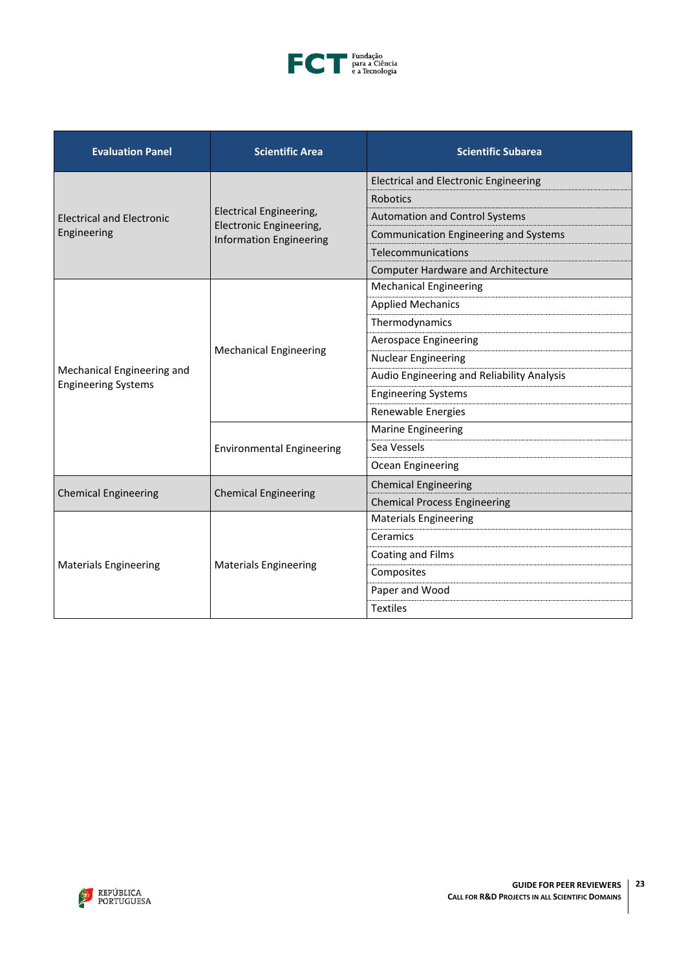

| <b>Evaluation Panel</b>          | <b>Scientific Area</b>                                                                      | <b>Scientific Subarea</b>                    |
|----------------------------------|---------------------------------------------------------------------------------------------|----------------------------------------------|
|                                  | <b>Electrical Engineering,</b><br>Electronic Engineering,<br><b>Information Engineering</b> | <b>Electrical and Electronic Engineering</b> |
|                                  |                                                                                             | Robotics                                     |
| <b>Electrical and Electronic</b> |                                                                                             | <b>Automation and Control Systems</b>        |
| Engineering                      |                                                                                             | Communication Engineering and Systems        |
|                                  |                                                                                             | Telecommunications                           |
|                                  |                                                                                             | <b>Computer Hardware and Architecture</b>    |
|                                  | <b>Mechanical Engineering</b>                                                               | <b>Mechanical Engineering</b>                |
|                                  |                                                                                             | <b>Applied Mechanics</b>                     |
|                                  |                                                                                             | Thermodynamics                               |
|                                  |                                                                                             | Aerospace Engineering                        |
|                                  |                                                                                             | <b>Nuclear Engineering</b>                   |
| Mechanical Engineering and       |                                                                                             | Audio Engineering and Reliability Analysis   |
| <b>Engineering Systems</b>       |                                                                                             | <b>Engineering Systems</b>                   |
|                                  |                                                                                             | Renewable Energies                           |
|                                  | <b>Environmental Engineering</b>                                                            | <b>Marine Engineering</b>                    |
|                                  |                                                                                             | Sea Vessels                                  |
|                                  |                                                                                             | Ocean Engineering                            |
|                                  | <b>Chemical Engineering</b>                                                                 | <b>Chemical Engineering</b>                  |
| <b>Chemical Engineering</b>      |                                                                                             | <b>Chemical Process Engineering</b>          |
|                                  |                                                                                             | <b>Materials Engineering</b>                 |
|                                  | <b>Materials Engineering</b>                                                                | Ceramics                                     |
|                                  |                                                                                             | Coating and Films                            |
| <b>Materials Engineering</b>     |                                                                                             | Composites                                   |
|                                  |                                                                                             | Paper and Wood                               |
|                                  |                                                                                             | <b>Textiles</b>                              |

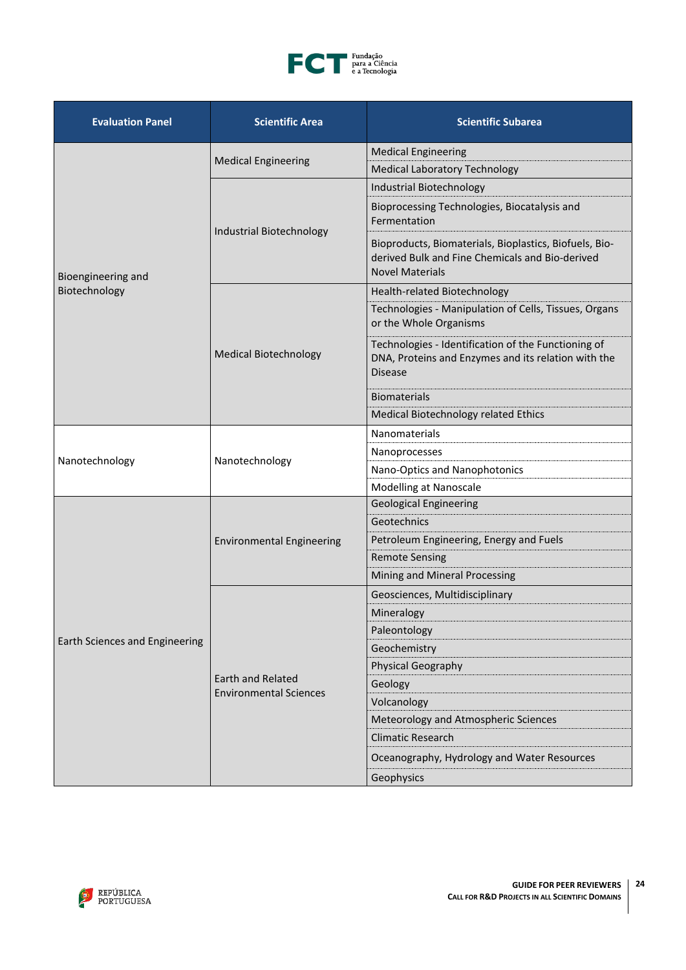

| <b>Evaluation Panel</b>               | <b>Scientific Area</b>                             | <b>Scientific Subarea</b>                                                                                                           |
|---------------------------------------|----------------------------------------------------|-------------------------------------------------------------------------------------------------------------------------------------|
|                                       | <b>Medical Engineering</b>                         | <b>Medical Engineering</b>                                                                                                          |
|                                       |                                                    | <b>Medical Laboratory Technology</b>                                                                                                |
|                                       | Industrial Biotechnology                           | Industrial Biotechnology                                                                                                            |
|                                       |                                                    | Bioprocessing Technologies, Biocatalysis and<br>Fermentation                                                                        |
| Bioengineering and                    |                                                    | Bioproducts, Biomaterials, Bioplastics, Biofuels, Bio-<br>derived Bulk and Fine Chemicals and Bio-derived<br><b>Novel Materials</b> |
| Biotechnology                         |                                                    | Health-related Biotechnology                                                                                                        |
|                                       |                                                    | Technologies - Manipulation of Cells, Tissues, Organs<br>or the Whole Organisms                                                     |
|                                       | <b>Medical Biotechnology</b>                       | Technologies - Identification of the Functioning of<br>DNA, Proteins and Enzymes and its relation with the<br><b>Disease</b>        |
|                                       |                                                    | <b>Biomaterials</b>                                                                                                                 |
|                                       |                                                    | Medical Biotechnology related Ethics                                                                                                |
|                                       | Nanotechnology                                     | <b>Nanomaterials</b>                                                                                                                |
|                                       |                                                    | Nanoprocesses                                                                                                                       |
| Nanotechnology                        |                                                    | Nano-Optics and Nanophotonics                                                                                                       |
|                                       |                                                    | Modelling at Nanoscale                                                                                                              |
|                                       | <b>Environmental Engineering</b>                   | <b>Geological Engineering</b>                                                                                                       |
|                                       |                                                    | Geotechnics                                                                                                                         |
|                                       |                                                    | Petroleum Engineering, Energy and Fuels                                                                                             |
|                                       |                                                    | <b>Remote Sensing</b>                                                                                                               |
|                                       |                                                    | Mining and Mineral Processing                                                                                                       |
|                                       |                                                    | Geosciences, Multidisciplinary                                                                                                      |
|                                       |                                                    | Mineralogy                                                                                                                          |
|                                       |                                                    | Paleontology                                                                                                                        |
| <b>Earth Sciences and Engineering</b> |                                                    | Geochemistry                                                                                                                        |
|                                       |                                                    | Physical Geography                                                                                                                  |
|                                       | Earth and Related<br><b>Environmental Sciences</b> | Geology                                                                                                                             |
|                                       |                                                    | Volcanology                                                                                                                         |
|                                       |                                                    | Meteorology and Atmospheric Sciences                                                                                                |
|                                       |                                                    | <b>Climatic Research</b>                                                                                                            |
|                                       |                                                    | Oceanography, Hydrology and Water Resources                                                                                         |
|                                       |                                                    | Geophysics                                                                                                                          |

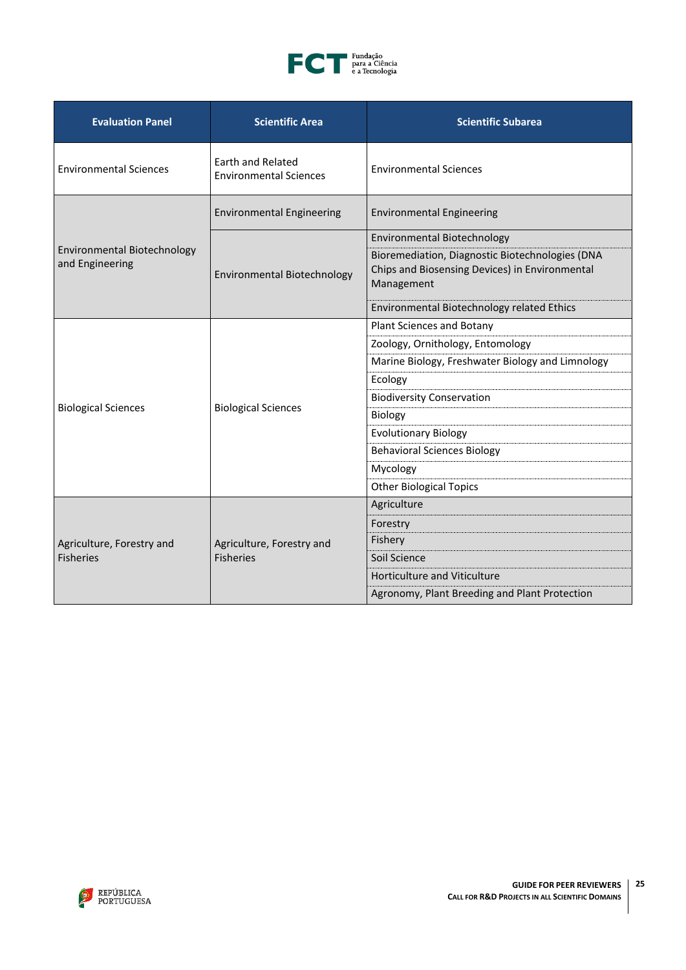

| <b>Evaluation Panel</b>                        | <b>Scientific Area</b>                                    | <b>Scientific Subarea</b>                                                                                       |
|------------------------------------------------|-----------------------------------------------------------|-----------------------------------------------------------------------------------------------------------------|
| <b>Environmental Sciences</b>                  | <b>Earth and Related</b><br><b>Environmental Sciences</b> | <b>Environmental Sciences</b>                                                                                   |
|                                                | <b>Environmental Engineering</b>                          | <b>Environmental Engineering</b>                                                                                |
|                                                | Environmental Biotechnology                               | Environmental Biotechnology                                                                                     |
| Environmental Biotechnology<br>and Engineering |                                                           | Bioremediation, Diagnostic Biotechnologies (DNA<br>Chips and Biosensing Devices) in Environmental<br>Management |
|                                                |                                                           | Environmental Biotechnology related Ethics                                                                      |
|                                                | <b>Biological Sciences</b>                                | Plant Sciences and Botany                                                                                       |
|                                                |                                                           | Zoology, Ornithology, Entomology                                                                                |
|                                                |                                                           | Marine Biology, Freshwater Biology and Limnology                                                                |
|                                                |                                                           | Ecology                                                                                                         |
|                                                |                                                           | <b>Biodiversity Conservation</b>                                                                                |
| <b>Biological Sciences</b>                     |                                                           | Biology                                                                                                         |
|                                                |                                                           | <b>Evolutionary Biology</b>                                                                                     |
|                                                |                                                           | <b>Behavioral Sciences Biology</b>                                                                              |
|                                                |                                                           | Mycology                                                                                                        |
|                                                |                                                           | <b>Other Biological Topics</b>                                                                                  |
|                                                | Agriculture, Forestry and<br><b>Fisheries</b>             | Agriculture                                                                                                     |
|                                                |                                                           | Forestry                                                                                                        |
| Agriculture, Forestry and                      |                                                           | Fishery                                                                                                         |
| <b>Fisheries</b>                               |                                                           | Soil Science                                                                                                    |
|                                                |                                                           | <b>Horticulture and Viticulture</b>                                                                             |
|                                                |                                                           | Agronomy, Plant Breeding and Plant Protection                                                                   |

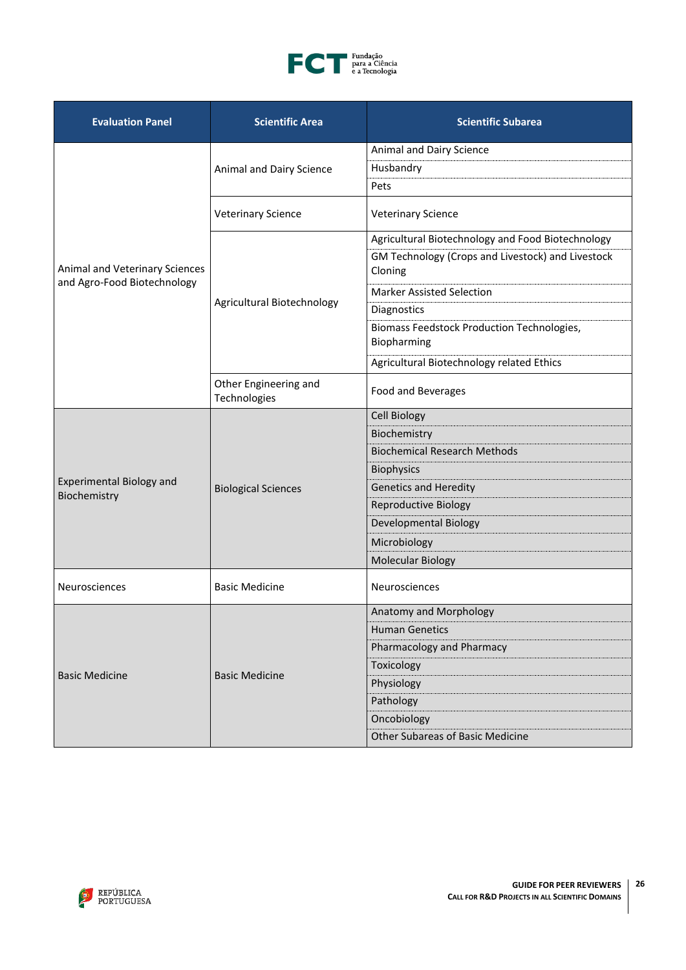

| <b>Evaluation Panel</b>                         | <b>Scientific Area</b>                | <b>Scientific Subarea</b>                                        |
|-------------------------------------------------|---------------------------------------|------------------------------------------------------------------|
|                                                 |                                       | Animal and Dairy Science                                         |
|                                                 | Animal and Dairy Science              | Husbandry                                                        |
|                                                 |                                       | Pets                                                             |
|                                                 | <b>Veterinary Science</b>             | <b>Veterinary Science</b>                                        |
|                                                 |                                       | Agricultural Biotechnology and Food Biotechnology                |
| Animal and Veterinary Sciences                  |                                       | GM Technology (Crops and Livestock) and Livestock<br>Cloning     |
| and Agro-Food Biotechnology                     |                                       | <b>Marker Assisted Selection</b>                                 |
|                                                 | Agricultural Biotechnology            | Diagnostics                                                      |
|                                                 |                                       | <b>Biomass Feedstock Production Technologies,</b><br>Biopharming |
|                                                 |                                       | Agricultural Biotechnology related Ethics                        |
|                                                 | Other Engineering and<br>Technologies | Food and Beverages                                               |
|                                                 | <b>Biological Sciences</b>            | <b>Cell Biology</b>                                              |
|                                                 |                                       | Biochemistry                                                     |
|                                                 |                                       | <b>Biochemical Research Methods</b>                              |
|                                                 |                                       | <b>Biophysics</b>                                                |
| <b>Experimental Biology and</b><br>Biochemistry |                                       | <b>Genetics and Heredity</b>                                     |
|                                                 |                                       | <b>Reproductive Biology</b>                                      |
|                                                 |                                       | Developmental Biology                                            |
|                                                 |                                       | Microbiology                                                     |
|                                                 |                                       | <b>Molecular Biology</b>                                         |
| Neurosciences                                   | <b>Basic Medicine</b>                 | Neurosciences                                                    |
|                                                 |                                       | Anatomy and Morphology                                           |
|                                                 | <b>Basic Medicine</b>                 | <b>Human Genetics</b>                                            |
|                                                 |                                       | Pharmacology and Pharmacy                                        |
| <b>Basic Medicine</b>                           |                                       | Toxicology                                                       |
|                                                 |                                       | Physiology                                                       |
|                                                 |                                       | Pathology                                                        |
|                                                 |                                       | Oncobiology                                                      |
|                                                 |                                       | <b>Other Subareas of Basic Medicine</b>                          |

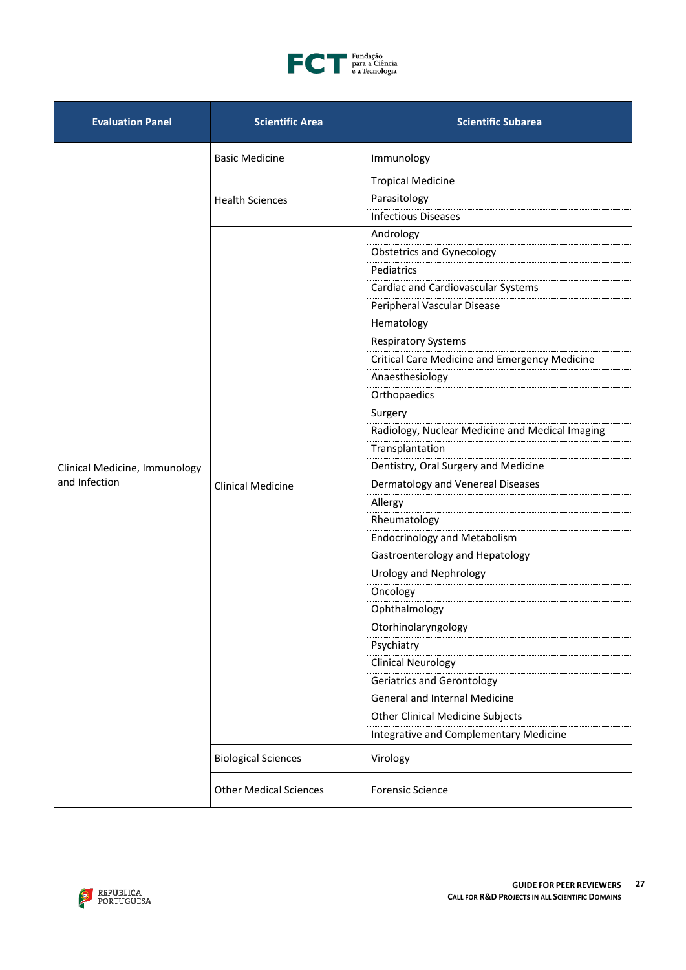

| <b>Evaluation Panel</b>       | <b>Scientific Area</b>        | <b>Scientific Subarea</b>                            |
|-------------------------------|-------------------------------|------------------------------------------------------|
|                               | <b>Basic Medicine</b>         | Immunology                                           |
|                               |                               | <b>Tropical Medicine</b>                             |
|                               | <b>Health Sciences</b>        | Parasitology                                         |
|                               |                               | <b>Infectious Diseases</b>                           |
|                               |                               | Andrology                                            |
|                               |                               | <b>Obstetrics and Gynecology</b>                     |
|                               |                               | Pediatrics                                           |
|                               |                               | Cardiac and Cardiovascular Systems                   |
|                               |                               | Peripheral Vascular Disease                          |
|                               |                               | Hematology                                           |
|                               |                               | <b>Respiratory Systems</b>                           |
|                               |                               | <b>Critical Care Medicine and Emergency Medicine</b> |
|                               |                               | Anaesthesiology                                      |
|                               |                               | Orthopaedics                                         |
|                               | <b>Clinical Medicine</b>      | Surgery                                              |
|                               |                               | Radiology, Nuclear Medicine and Medical Imaging      |
|                               |                               | Transplantation                                      |
| Clinical Medicine, Immunology |                               | Dentistry, Oral Surgery and Medicine                 |
| and Infection                 |                               | Dermatology and Venereal Diseases                    |
|                               |                               | Allergy                                              |
|                               |                               | Rheumatology                                         |
|                               |                               | <b>Endocrinology and Metabolism</b>                  |
|                               |                               | Gastroenterology and Hepatology                      |
|                               |                               | Urology and Nephrology                               |
|                               |                               | Oncology                                             |
|                               |                               | Ophthalmology                                        |
|                               |                               | Otorhinolaryngology                                  |
|                               |                               | Psychiatry                                           |
|                               |                               | <b>Clinical Neurology</b>                            |
|                               |                               | <b>Geriatrics and Gerontology</b>                    |
|                               |                               | <b>General and Internal Medicine</b>                 |
|                               |                               | <b>Other Clinical Medicine Subjects</b>              |
|                               |                               | Integrative and Complementary Medicine               |
|                               | <b>Biological Sciences</b>    | Virology                                             |
|                               | <b>Other Medical Sciences</b> | <b>Forensic Science</b>                              |

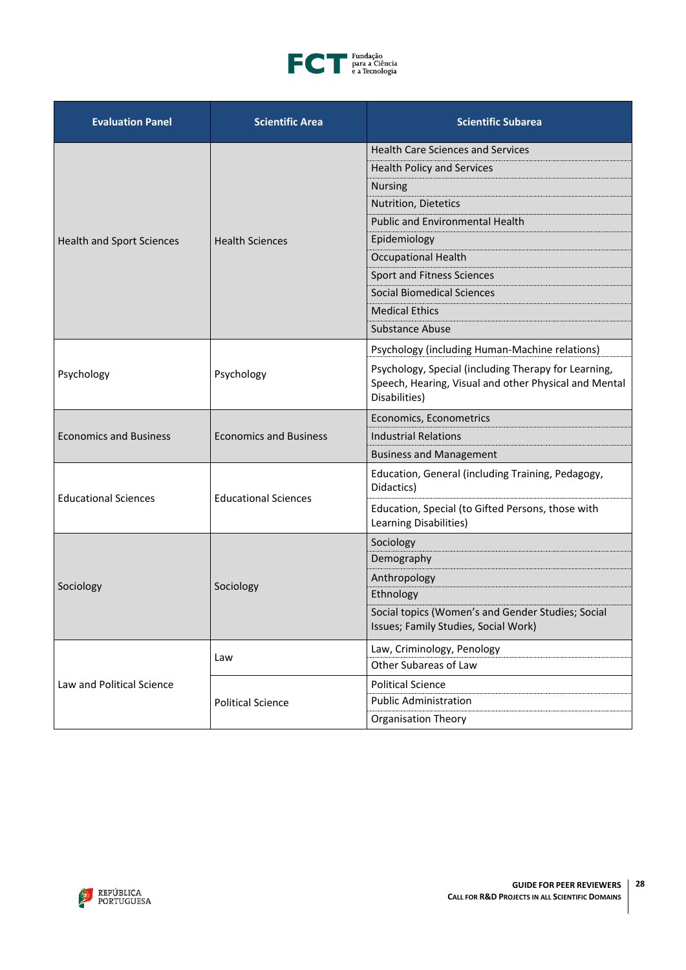

| <b>Evaluation Panel</b>          | <b>Scientific Area</b>        | <b>Scientific Subarea</b>                                                                                                      |
|----------------------------------|-------------------------------|--------------------------------------------------------------------------------------------------------------------------------|
|                                  | <b>Health Sciences</b>        | <b>Health Care Sciences and Services</b>                                                                                       |
|                                  |                               | <b>Health Policy and Services</b>                                                                                              |
|                                  |                               | <b>Nursing</b>                                                                                                                 |
|                                  |                               | Nutrition, Dietetics                                                                                                           |
|                                  |                               | <b>Public and Environmental Health</b>                                                                                         |
| <b>Health and Sport Sciences</b> |                               | Epidemiology                                                                                                                   |
|                                  |                               | <b>Occupational Health</b>                                                                                                     |
|                                  |                               | Sport and Fitness Sciences                                                                                                     |
|                                  |                               | <b>Social Biomedical Sciences</b>                                                                                              |
|                                  |                               | <b>Medical Ethics</b>                                                                                                          |
|                                  |                               | <b>Substance Abuse</b>                                                                                                         |
|                                  | Psychology                    | Psychology (including Human-Machine relations)                                                                                 |
| Psychology                       |                               | Psychology, Special (including Therapy for Learning,<br>Speech, Hearing, Visual and other Physical and Mental<br>Disabilities) |
|                                  | <b>Economics and Business</b> | Economics, Econometrics                                                                                                        |
| <b>Economics and Business</b>    |                               | <b>Industrial Relations</b>                                                                                                    |
|                                  |                               | <b>Business and Management</b>                                                                                                 |
| <b>Educational Sciences</b>      | <b>Educational Sciences</b>   | Education, General (including Training, Pedagogy,<br>Didactics)                                                                |
|                                  |                               | Education, Special (to Gifted Persons, those with<br>Learning Disabilities)                                                    |
|                                  |                               | Sociology                                                                                                                      |
|                                  |                               | Demography                                                                                                                     |
|                                  |                               | Anthropology                                                                                                                   |
| Sociology                        | Sociology                     | Ethnology                                                                                                                      |
|                                  |                               | Social topics (Women's and Gender Studies; Social<br>Issues; Family Studies, Social Work)                                      |
|                                  | Law                           | Law, Criminology, Penology                                                                                                     |
|                                  |                               | Other Subareas of Law                                                                                                          |
| Law and Political Science        | <b>Political Science</b>      | <b>Political Science</b>                                                                                                       |
|                                  |                               | <b>Public Administration</b>                                                                                                   |
|                                  |                               | <b>Organisation Theory</b>                                                                                                     |

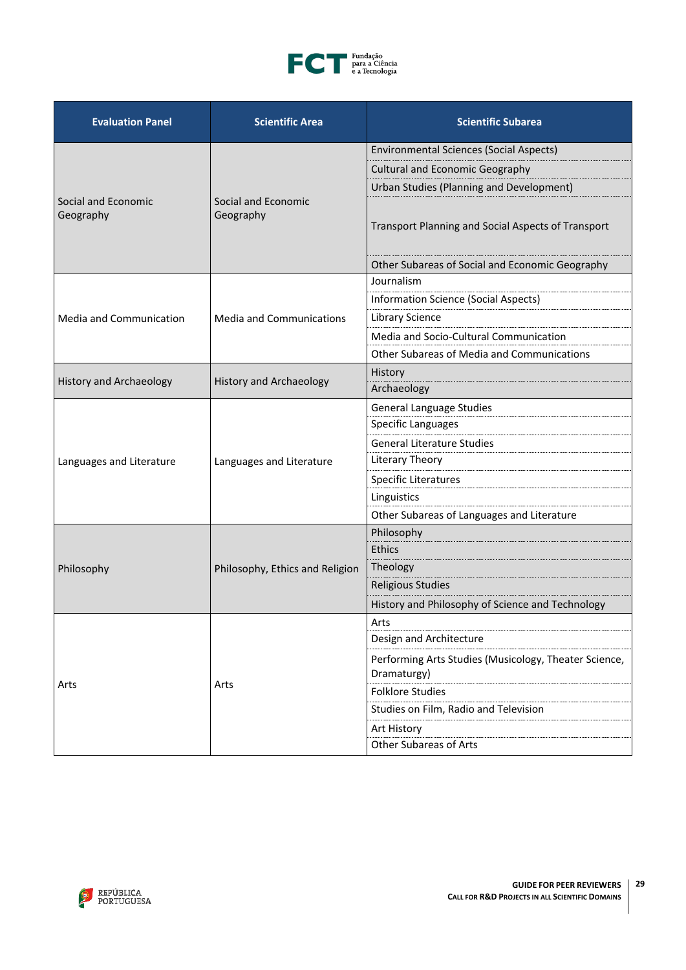

| <b>Evaluation Panel</b>          | <b>Scientific Area</b>           | <b>Scientific Subarea</b>                                            |
|----------------------------------|----------------------------------|----------------------------------------------------------------------|
|                                  | Social and Economic<br>Geography | <b>Environmental Sciences (Social Aspects)</b>                       |
|                                  |                                  | <b>Cultural and Economic Geography</b>                               |
|                                  |                                  | Urban Studies (Planning and Development)                             |
| Social and Economic<br>Geography |                                  | Transport Planning and Social Aspects of Transport                   |
|                                  |                                  | Other Subareas of Social and Economic Geography                      |
|                                  |                                  | Journalism                                                           |
|                                  |                                  | <b>Information Science (Social Aspects)</b>                          |
| <b>Media and Communication</b>   | <b>Media and Communications</b>  | <b>Library Science</b>                                               |
|                                  |                                  | Media and Socio-Cultural Communication                               |
|                                  |                                  | Other Subareas of Media and Communications                           |
|                                  |                                  | History                                                              |
| <b>History and Archaeology</b>   | <b>History and Archaeology</b>   | Archaeology                                                          |
|                                  |                                  | <b>General Language Studies</b>                                      |
|                                  |                                  | <b>Specific Languages</b>                                            |
|                                  | Languages and Literature         | <b>General Literature Studies</b>                                    |
| Languages and Literature         |                                  | Literary Theory                                                      |
|                                  |                                  | Specific Literatures                                                 |
|                                  |                                  | Linguistics                                                          |
|                                  |                                  | Other Subareas of Languages and Literature                           |
|                                  | Philosophy, Ethics and Religion  | Philosophy                                                           |
|                                  |                                  | Ethics                                                               |
| Philosophy                       |                                  | Theology                                                             |
|                                  |                                  | <b>Religious Studies</b>                                             |
|                                  |                                  | History and Philosophy of Science and Technology                     |
|                                  |                                  | Arts                                                                 |
|                                  |                                  | Design and Architecture                                              |
|                                  | Arts                             | Performing Arts Studies (Musicology, Theater Science,<br>Dramaturgy) |
| Arts                             |                                  | <b>Folklore Studies</b>                                              |
|                                  |                                  | Studies on Film, Radio and Television                                |
|                                  |                                  | Art History                                                          |
|                                  |                                  | <b>Other Subareas of Arts</b>                                        |

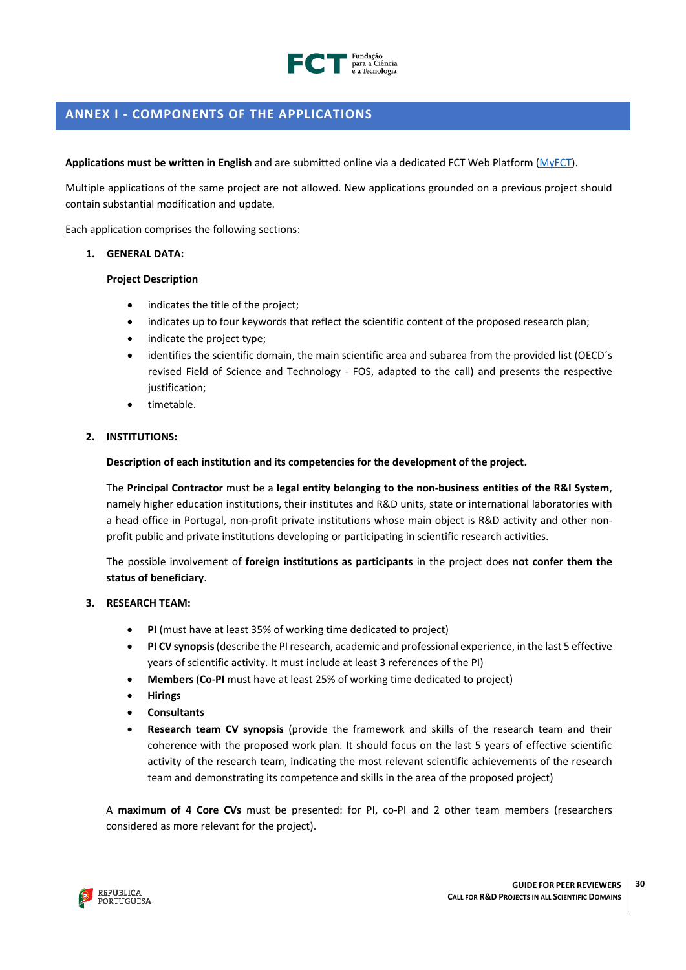

# <span id="page-29-0"></span>**ANNEX I - COMPONENTS OF THE APPLICATIONS**

## **Applications must be written in English** and are submitted online via a dedicated FCT Web Platform [\(MyFCT\)](https://myfct.fct.pt/MyFCTHomepage.aspx).

Multiple applications of the same project are not allowed. New applications grounded on a previous project should contain substantial modification and update.

Each application comprises the following sections:

### **1. GENERAL DATA:**

### **Project Description**

- indicates the title of the project;
- indicates up to four keywords that reflect the scientific content of the proposed research plan;
- indicate the project type;
- identifies the scientific domain, the main scientific area and subarea from the provided list (OECD's revised Field of Science and Technology - FOS, adapted to the call) and presents the respective iustification:
- timetable.

# **2. INSTITUTIONS:**

**Description of each institution and its competencies for the development of the project.**

The **Principal Contractor** must be a **legal entity belonging to the non-business entities of the R&I System**, namely higher education institutions, their institutes and R&D units, state or international laboratories with a head office in Portugal, non-profit private institutions whose main object is R&D activity and other nonprofit public and private institutions developing or participating in scientific research activities.

The possible involvement of **foreign institutions as participants** in the project does **not confer them the status of beneficiary**.

### **3. RESEARCH TEAM:**

- **PI** (must have at least 35% of working time dedicated to project)
- **PI CV synopsis**(describe the PI research, academic and professional experience, in the last 5 effective years of scientific activity. It must include at least 3 references of the PI)
- **Members** (**Co-PI** must have at least 25% of working time dedicated to project)
- **Hirings**
- **Consultants**
- **Research team CV synopsis** (provide the framework and skills of the research team and their coherence with the proposed work plan. It should focus on the last 5 years of effective scientific activity of the research team, indicating the most relevant scientific achievements of the research team and demonstrating its competence and skills in the area of the proposed project)

A **maximum of 4 Core CVs** must be presented: for PI, co-PI and 2 other team members (researchers considered as more relevant for the project).

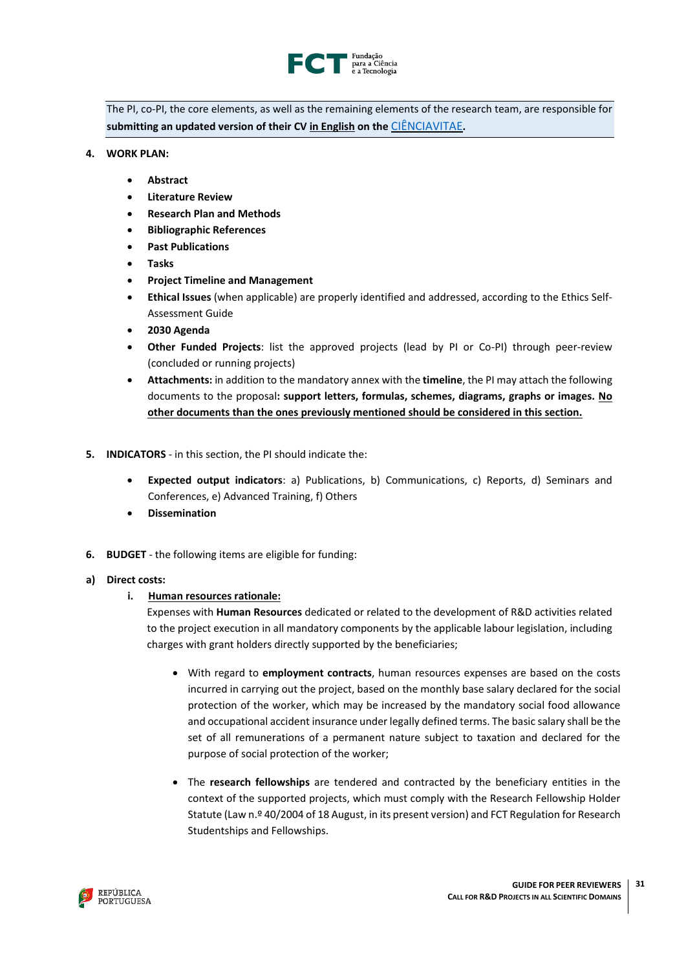

The PI, co-PI, the core elements, as well as the remaining elements of the research team, are responsible for **submitting an updated version of their CV in English on the** [CIÊNCIAVITAE](https://cienciavitae.pt/)**.**

- **4. WORK PLAN:** 
	- **Abstract**
	- **Literature Review**
	- **Research Plan and Methods**
	- **Bibliographic References**
	- **Past Publications**
	- **Tasks**
	- **Project Timeline and Management**
	- **Ethical Issues** (when applicable) are properly identified and addressed, according to the Ethics Self-Assessment Guide
	- **2030 Agenda**
	- **Other Funded Projects**: list the approved projects (lead by PI or Co-PI) through peer-review (concluded or running projects)
	- **Attachments:** in addition to the mandatory annex with the **timeline**, the PI may attach the following documents to the proposal**: support letters, formulas, schemes, diagrams, graphs or images. No other documents than the ones previously mentioned should be considered in this section.**
- **5. INDICATORS** in this section, the PI should indicate the:
	- **Expected output indicators**: a) Publications, b) Communications, c) Reports, d) Seminars and Conferences, e) Advanced Training, f) Others
	- **Dissemination**
- **6. BUDGET** the following items are eligible for funding:

### **a) Direct costs:**

# **i. Human resources rationale:**

Expenses with **Human Resources** dedicated or related to the development of R&D activities related to the project execution in all mandatory components by the applicable labour legislation, including charges with grant holders directly supported by the beneficiaries;

- With regard to **employment contracts**, human resources expenses are based on the costs incurred in carrying out the project, based on the monthly base salary declared for the social protection of the worker, which may be increased by the mandatory social food allowance and occupational accident insurance under legally defined terms. The basic salary shall be the set of all remunerations of a permanent nature subject to taxation and declared for the purpose of social protection of the worker;
- The **research fellowships** are tendered and contracted by the beneficiary entities in the context of the supported projects, which must comply with the Research Fellowship Holder Statute (Law n.º 40/2004 of 18 August, in its present version) and FCT Regulation for Research Studentships and Fellowships.

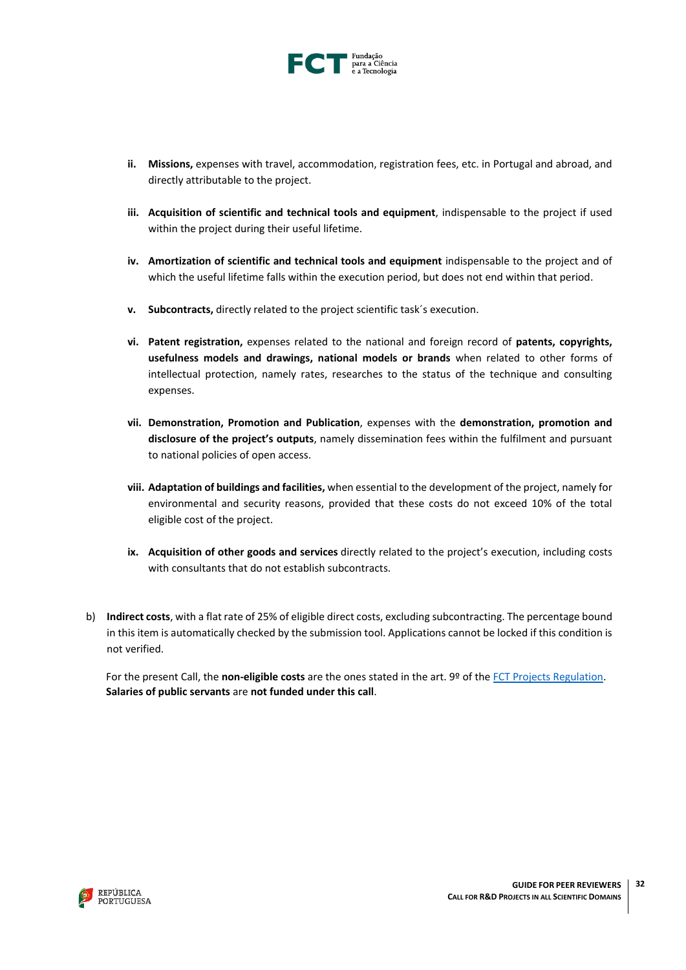

- **ii. Missions,** expenses with travel, accommodation, registration fees, etc. in Portugal and abroad, and directly attributable to the project.
- **iii. Acquisition of scientific and technical tools and equipment**, indispensable to the project if used within the project during their useful lifetime.
- **iv. Amortization of scientific and technical tools and equipment** indispensable to the project and of which the useful lifetime falls within the execution period, but does not end within that period.
- **v. Subcontracts,** directly related to the project scientific task´s execution.
- **vi. Patent registration,** expenses related to the national and foreign record of **patents, copyrights, usefulness models and drawings, national models or brands** when related to other forms of intellectual protection, namely rates, researches to the status of the technique and consulting expenses.
- **vii. Demonstration, Promotion and Publication**, expenses with the **demonstration, promotion and disclosure of the project's outputs**, namely dissemination fees within the fulfilment and pursuant to national policies of open access.
- **viii. Adaptation of buildings and facilities,** when essential to the development of the project, namely for environmental and security reasons, provided that these costs do not exceed 10% of the total eligible cost of the project.
- **ix. Acquisition of other goods and services** directly related to the project's execution, including costs with consultants that do not establish subcontracts.
- b) **Indirect costs**, with a flat rate of 25% of eligible direct costs, excluding subcontracting. The percentage bound in this item is automatically checked by the submission tool. Applications cannot be locked if this condition is not verified.

For the present Call, the **non-eligible costs** are the ones stated in the art. 9º of the [FCT Projects Regulation.](http://www.fct.pt/apoios/projectos/regulamentofundosnacionais.phtml.en) **Salaries of public servants** are **not funded under this call**.

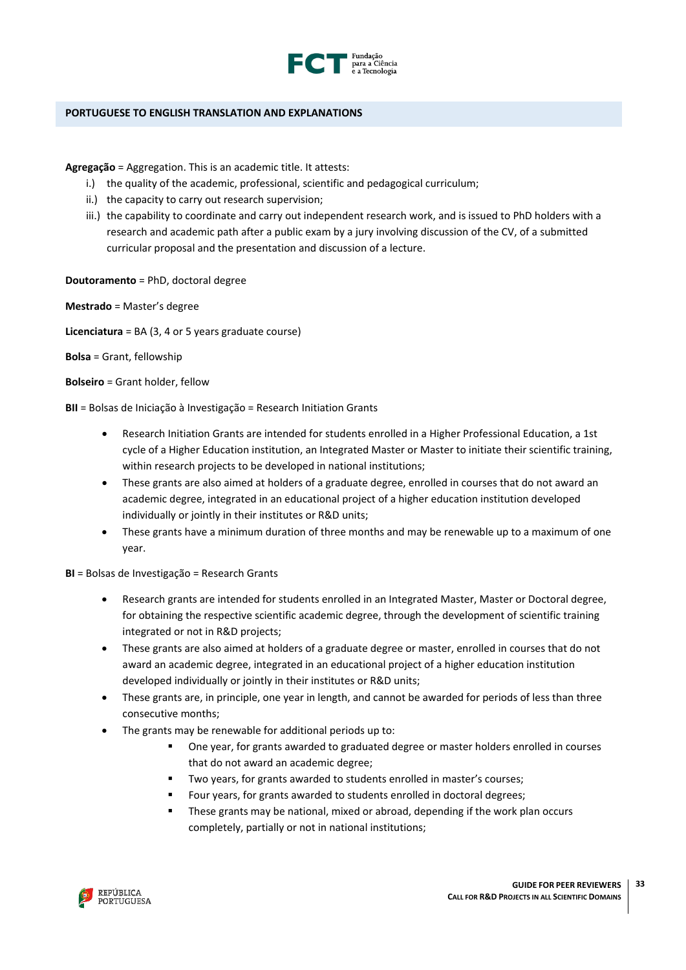

### <span id="page-32-0"></span>**PORTUGUESE TO ENGLISH TRANSLATION AND EXPLANATIONS**

**Agregação** = Aggregation. This is an academic title. It attests:

- i.) the quality of the academic, professional, scientific and pedagogical curriculum;
- ii.) the capacity to carry out research supervision;
- iii.) the capability to coordinate and carry out independent research work, and is issued to PhD holders with a research and academic path after a public exam by a jury involving discussion of the CV, of a submitted curricular proposal and the presentation and discussion of a lecture.
- **Doutoramento** = PhD, doctoral degree

**Mestrado** = Master's degree

**Licenciatura** = BA (3, 4 or 5 years graduate course)

**Bolsa** = Grant, fellowship

**Bolseiro** = Grant holder, fellow

**BII** = Bolsas de Iniciação à Investigação = Research Initiation Grants

- Research Initiation Grants are intended for students enrolled in a Higher Professional Education, a 1st cycle of a Higher Education institution, an Integrated Master or Master to initiate their scientific training, within research projects to be developed in national institutions;
- These grants are also aimed at holders of a graduate degree, enrolled in courses that do not award an academic degree, integrated in an educational project of a higher education institution developed individually or jointly in their institutes or R&D units;
- These grants have a minimum duration of three months and may be renewable up to a maximum of one year.

**BI** = Bolsas de Investigação = Research Grants

- Research grants are intended for students enrolled in an Integrated Master, Master or Doctoral degree, for obtaining the respective scientific academic degree, through the development of scientific training integrated or not in R&D projects;
- These grants are also aimed at holders of a graduate degree or master, enrolled in courses that do not award an academic degree, integrated in an educational project of a higher education institution developed individually or jointly in their institutes or R&D units;
- These grants are, in principle, one year in length, and cannot be awarded for periods of less than three consecutive months;
- The grants may be renewable for additional periods up to:
	- One year, for grants awarded to graduated degree or master holders enrolled in courses that do not award an academic degree;
	- Two years, for grants awarded to students enrolled in master's courses;
	- Four years, for grants awarded to students enrolled in doctoral degrees;
	- These grants may be national, mixed or abroad, depending if the work plan occurs completely, partially or not in national institutions;